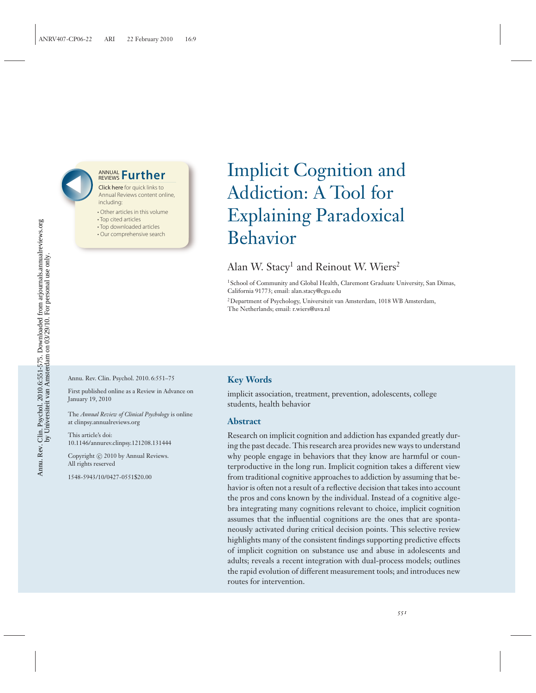# **REVIEWS Further**

Click here for quick links to Annual Reviews content online, including:

- Other articles in this volume
- Top cited articles
- Top downloaded articles
- Our comprehensive search

# Implicit Cognition and Addiction: A Tool for Explaining Paradoxical Behavior

Alan W. Stacy<sup>1</sup> and Reinout W. Wiers<sup>2</sup>

<sup>1</sup>School of Community and Global Health, Claremont Graduate University, San Dimas, California 91773; email: alan.stacy@cgu.edu

2Department of Psychology, Universiteit van Amsterdam, 1018 WB Amsterdam, The Netherlands; email: r.wiers@uva.nl

Annu. Rev. Clin. Psychol. 2010. 6:551–75

First published online as a Review in Advance on January 19, 2010

The *Annual Review of Clinical Psychology* is online at clinpsy.annualreviews.org

This article's doi: 10.1146/annurev.clinpsy.121208.131444

Copyright © 2010 by Annual Reviews. All rights reserved

1548-5943/10/0427-0551\$20.00

#### **Key Words**

implicit association, treatment, prevention, adolescents, college students, health behavior

#### **Abstract**

Research on implicit cognition and addiction has expanded greatly during the past decade. This research area provides new ways to understand why people engage in behaviors that they know are harmful or counterproductive in the long run. Implicit cognition takes a different view from traditional cognitive approaches to addiction by assuming that behavior is often not a result of a reflective decision that takes into account the pros and cons known by the individual. Instead of a cognitive algebra integrating many cognitions relevant to choice, implicit cognition assumes that the influential cognitions are the ones that are spontaneously activated during critical decision points. This selective review highlights many of the consistent findings supporting predictive effects of implicit cognition on substance use and abuse in adolescents and adults; reveals a recent integration with dual-process models; outlines the rapid evolution of different measurement tools; and introduces new routes for intervention.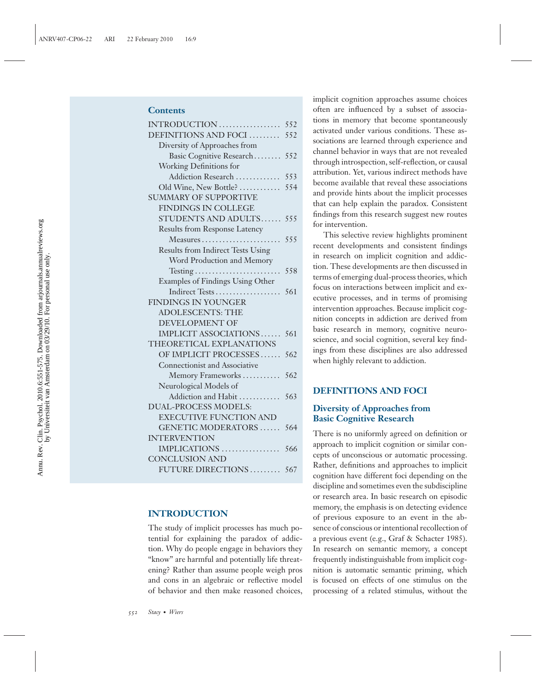#### **Contents**

|                                                           | 552 |
|-----------------------------------------------------------|-----|
| DEFINITIONS AND FOCI                                      | 552 |
| Diversity of Approaches from                              |     |
| Basic Cognitive Research                                  | 552 |
| Working Definitions for                                   |     |
| Addiction Research                                        | 553 |
| Old Wine, New Bottle?                                     | 554 |
| <b>SUMMARY OF SUPPORTIVE</b>                              |     |
| <b>FINDINGS IN COLLEGE</b>                                |     |
| STUDENTS AND ADULTS                                       | 555 |
| <b>Results from Response Latency</b>                      |     |
| $Measures \ldots \ldots \ldots$                           | 555 |
| <b>Results from Indirect Tests Using</b>                  |     |
| Word Production and Memory                                |     |
| $Testing \dots \dots \dots \dots \dots \dots \dots \dots$ | 558 |
| Examples of Findings Using Other                          |     |
| Indirect Tests                                            | 561 |
| <b>FINDINGS IN YOUNGER</b>                                |     |
| <b>ADOLESCENTS: THE</b>                                   |     |
| <b>DEVELOPMENT OF</b>                                     |     |
| IMPLICIT ASSOCIATIONS                                     | 561 |
| THEORETICAL EXPLANATIONS                                  |     |
| OF IMPLICIT PROCESSES                                     | 562 |
| <b>Connectionist and Associative</b>                      |     |
| Memory Frameworks                                         | 562 |
| Neurological Models of                                    |     |
| Addiction and Habit                                       | 563 |
| <b>DUAL-PROCESS MODELS:</b>                               |     |
| <b>EXECUTIVE FUNCTION AND</b>                             |     |
| GENETIC MODERATORS                                        | 564 |
| <b>INTERVENTION</b>                                       |     |
| IMPLICATIONS                                              | 566 |
| <b>CONCLUSION AND</b>                                     |     |
| FUTURE DIRECTIONS                                         | 567 |

#### **INTRODUCTION**

The study of implicit processes has much potential for explaining the paradox of addiction. Why do people engage in behaviors they "know" are harmful and potentially life threatening? Rather than assume people weigh pros and cons in an algebraic or reflective model of behavior and then make reasoned choices,

implicit cognition approaches assume choices often are influenced by a subset of associations in memory that become spontaneously activated under various conditions. These associations are learned through experience and channel behavior in ways that are not revealed through introspection, self-reflection, or causal attribution. Yet, various indirect methods have become available that reveal these associations and provide hints about the implicit processes that can help explain the paradox. Consistent findings from this research suggest new routes for intervention.

This selective review highlights prominent recent developments and consistent findings in research on implicit cognition and addiction. These developments are then discussed in terms of emerging dual-process theories, which focus on interactions between implicit and executive processes, and in terms of promising intervention approaches. Because implicit cognition concepts in addiction are derived from basic research in memory, cognitive neuroscience, and social cognition, several key findings from these disciplines are also addressed when highly relevant to addiction.

## **DEFINITIONS AND FOCI**

### **Diversity of Approaches from Basic Cognitive Research**

There is no uniformly agreed on definition or approach to implicit cognition or similar concepts of unconscious or automatic processing. Rather, definitions and approaches to implicit cognition have different foci depending on the discipline and sometimes even the subdiscipline or research area. In basic research on episodic memory, the emphasis is on detecting evidence of previous exposure to an event in the absence of conscious or intentional recollection of a previous event (e.g., Graf & Schacter 1985). In research on semantic memory, a concept frequently indistinguishable from implicit cognition is automatic semantic priming, which is focused on effects of one stimulus on the processing of a related stimulus, without the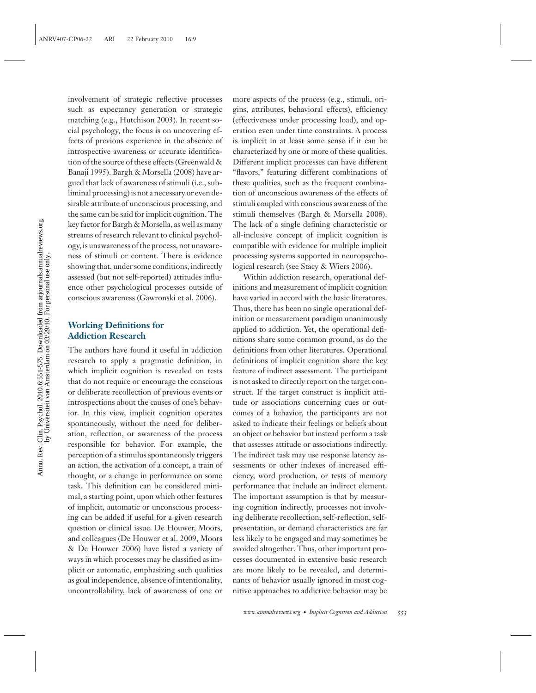involvement of strategic reflective processes such as expectancy generation or strategic matching (e.g., Hutchison 2003). In recent social psychology, the focus is on uncovering effects of previous experience in the absence of introspective awareness or accurate identification of the source of these effects (Greenwald & Banaji 1995). Bargh & Morsella (2008) have argued that lack of awareness of stimuli (i.e., subliminal processing) is not a necessary or even desirable attribute of unconscious processing, and the same can be said for implicit cognition. The key factor for Bargh & Morsella, as well as many streams of research relevant to clinical psychology, is unawareness of the process, not unawareness of stimuli or content. There is evidence showing that, under some conditions, indirectly assessed (but not self-reported) attitudes influence other psychological processes outside of conscious awareness (Gawronski et al. 2006).

# **Working Definitions for Addiction Research**

The authors have found it useful in addiction research to apply a pragmatic definition, in which implicit cognition is revealed on tests that do not require or encourage the conscious or deliberate recollection of previous events or introspections about the causes of one's behavior. In this view, implicit cognition operates spontaneously, without the need for deliberation, reflection, or awareness of the process responsible for behavior. For example, the perception of a stimulus spontaneously triggers an action, the activation of a concept, a train of thought, or a change in performance on some task. This definition can be considered minimal, a starting point, upon which other features of implicit, automatic or unconscious processing can be added if useful for a given research question or clinical issue. De Houwer, Moors, and colleagues (De Houwer et al. 2009, Moors & De Houwer 2006) have listed a variety of ways in which processes may be classified as implicit or automatic, emphasizing such qualities as goal independence, absence of intentionality, uncontrollability, lack of awareness of one or more aspects of the process (e.g., stimuli, origins, attributes, behavioral effects), efficiency (effectiveness under processing load), and operation even under time constraints. A process is implicit in at least some sense if it can be characterized by one or more of these qualities. Different implicit processes can have different "flavors," featuring different combinations of these qualities, such as the frequent combination of unconscious awareness of the effects of stimuli coupled with conscious awareness of the stimuli themselves (Bargh & Morsella 2008). The lack of a single defining characteristic or all-inclusive concept of implicit cognition is compatible with evidence for multiple implicit processing systems supported in neuropsychological research (see Stacy & Wiers 2006).

Within addiction research, operational definitions and measurement of implicit cognition have varied in accord with the basic literatures. Thus, there has been no single operational definition or measurement paradigm unanimously applied to addiction. Yet, the operational definitions share some common ground, as do the definitions from other literatures. Operational definitions of implicit cognition share the key feature of indirect assessment. The participant is not asked to directly report on the target construct. If the target construct is implicit attitude or associations concerning cues or outcomes of a behavior, the participants are not asked to indicate their feelings or beliefs about an object or behavior but instead perform a task that assesses attitude or associations indirectly. The indirect task may use response latency assessments or other indexes of increased efficiency, word production, or tests of memory performance that include an indirect element. The important assumption is that by measuring cognition indirectly, processes not involving deliberate recollection, self-reflection, selfpresentation, or demand characteristics are far less likely to be engaged and may sometimes be avoided altogether. Thus, other important processes documented in extensive basic research are more likely to be revealed, and determinants of behavior usually ignored in most cognitive approaches to addictive behavior may be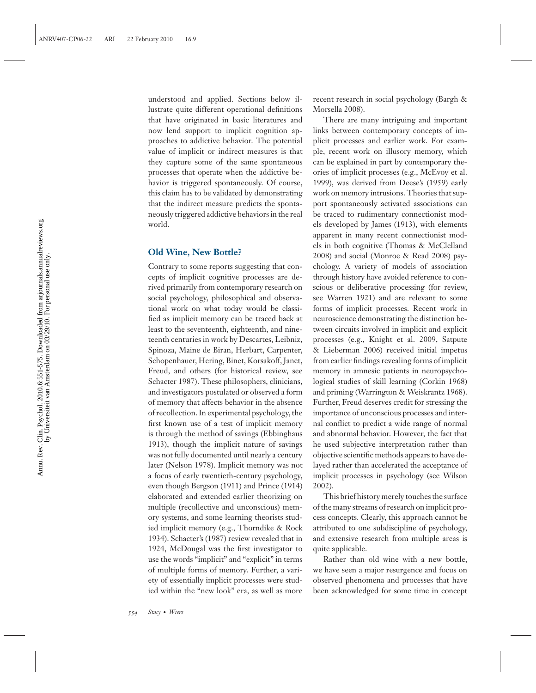understood and applied. Sections below illustrate quite different operational definitions that have originated in basic literatures and now lend support to implicit cognition approaches to addictive behavior. The potential value of implicit or indirect measures is that they capture some of the same spontaneous processes that operate when the addictive behavior is triggered spontaneously. Of course, this claim has to be validated by demonstrating that the indirect measure predicts the spontaneously triggered addictive behaviors in the real world.

#### **Old Wine, New Bottle?**

Contrary to some reports suggesting that concepts of implicit cognitive processes are derived primarily from contemporary research on social psychology, philosophical and observational work on what today would be classified as implicit memory can be traced back at least to the seventeenth, eighteenth, and nineteenth centuries in work by Descartes, Leibniz, Spinoza, Maine de Biran, Herbart, Carpenter, Schopenhauer, Hering, Binet, Korsakoff, Janet, Freud, and others (for historical review, see Schacter 1987). These philosophers, clinicians, and investigators postulated or observed a form of memory that affects behavior in the absence of recollection. In experimental psychology, the first known use of a test of implicit memory is through the method of savings (Ebbinghaus 1913), though the implicit nature of savings was not fully documented until nearly a century later (Nelson 1978). Implicit memory was not a focus of early twentieth-century psychology, even though Bergson (1911) and Prince (1914) elaborated and extended earlier theorizing on multiple (recollective and unconscious) memory systems, and some learning theorists studied implicit memory (e.g., Thorndike & Rock 1934). Schacter's (1987) review revealed that in 1924, McDougal was the first investigator to use the words "implicit" and "explicit" in terms of multiple forms of memory. Further, a variety of essentially implicit processes were studied within the "new look" era, as well as more

recent research in social psychology (Bargh & Morsella 2008).

There are many intriguing and important links between contemporary concepts of implicit processes and earlier work. For example, recent work on illusory memory, which can be explained in part by contemporary theories of implicit processes (e.g., McEvoy et al. 1999), was derived from Deese's (1959) early work on memory intrusions. Theories that support spontaneously activated associations can be traced to rudimentary connectionist models developed by James (1913), with elements apparent in many recent connectionist models in both cognitive (Thomas & McClelland 2008) and social (Monroe & Read 2008) psychology. A variety of models of association through history have avoided reference to conscious or deliberative processing (for review, see Warren 1921) and are relevant to some forms of implicit processes. Recent work in neuroscience demonstrating the distinction between circuits involved in implicit and explicit processes (e.g., Knight et al. 2009, Satpute & Lieberman 2006) received initial impetus from earlier findings revealing forms of implicit memory in amnesic patients in neuropsychological studies of skill learning (Corkin 1968) and priming (Warrington & Weiskrantz 1968). Further, Freud deserves credit for stressing the importance of unconscious processes and internal conflict to predict a wide range of normal and abnormal behavior. However, the fact that he used subjective interpretation rather than objective scientific methods appears to have delayed rather than accelerated the acceptance of implicit processes in psychology (see Wilson 2002).

This brief history merely touches the surface of the many streams of research on implicit process concepts. Clearly, this approach cannot be attributed to one subdiscipline of psychology, and extensive research from multiple areas is quite applicable.

Rather than old wine with a new bottle, we have seen a major resurgence and focus on observed phenomena and processes that have been acknowledged for some time in concept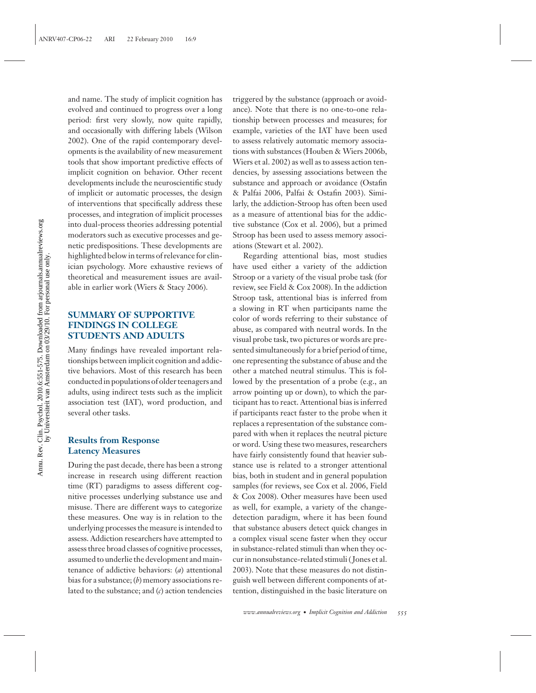and name. The study of implicit cognition has evolved and continued to progress over a long period: first very slowly, now quite rapidly, and occasionally with differing labels (Wilson 2002). One of the rapid contemporary developments is the availability of new measurement tools that show important predictive effects of implicit cognition on behavior. Other recent developments include the neuroscientific study of implicit or automatic processes, the design of interventions that specifically address these processes, and integration of implicit processes into dual-process theories addressing potential moderators such as executive processes and genetic predispositions. These developments are highlighted below in terms of relevance for clinician psychology. More exhaustive reviews of theoretical and measurement issues are available in earlier work (Wiers & Stacy 2006).

# **SUMMARY OF SUPPORTIVE FINDINGS IN COLLEGE STUDENTS AND ADULTS**

Many findings have revealed important relationships between implicit cognition and addictive behaviors. Most of this research has been conducted in populations of older teenagers and adults, using indirect tests such as the implicit association test (IAT), word production, and several other tasks.

# **Results from Response Latency Measures**

During the past decade, there has been a strong increase in research using different reaction time (RT) paradigms to assess different cognitive processes underlying substance use and misuse. There are different ways to categorize these measures. One way is in relation to the underlying processes the measure is intended to assess. Addiction researchers have attempted to assess three broad classes of cognitive processes, assumed to underlie the development and maintenance of addictive behaviors: (*a*) attentional bias for a substance; (*b*) memory associations related to the substance; and (*c*) action tendencies triggered by the substance (approach or avoidance). Note that there is no one-to-one relationship between processes and measures; for example, varieties of the IAT have been used to assess relatively automatic memory associations with substances (Houben & Wiers 2006b, Wiers et al. 2002) as well as to assess action tendencies, by assessing associations between the substance and approach or avoidance (Ostafin & Palfai 2006, Palfai & Ostafin 2003). Similarly, the addiction-Stroop has often been used as a measure of attentional bias for the addictive substance (Cox et al. 2006), but a primed Stroop has been used to assess memory associations (Stewart et al. 2002).

Regarding attentional bias, most studies have used either a variety of the addiction Stroop or a variety of the visual probe task (for review, see Field & Cox 2008). In the addiction Stroop task, attentional bias is inferred from a slowing in RT when participants name the color of words referring to their substance of abuse, as compared with neutral words. In the visual probe task, two pictures or words are presented simultaneously for a brief period of time, one representing the substance of abuse and the other a matched neutral stimulus. This is followed by the presentation of a probe (e.g., an arrow pointing up or down), to which the participant has to react. Attentional bias is inferred if participants react faster to the probe when it replaces a representation of the substance compared with when it replaces the neutral picture or word. Using these two measures, researchers have fairly consistently found that heavier substance use is related to a stronger attentional bias, both in student and in general population samples (for reviews, see Cox et al. 2006, Field & Cox 2008). Other measures have been used as well, for example, a variety of the changedetection paradigm, where it has been found that substance abusers detect quick changes in a complex visual scene faster when they occur in substance-related stimuli than when they occur in nonsubstance-related stimuli ( Jones et al. 2003). Note that these measures do not distinguish well between different components of attention, distinguished in the basic literature on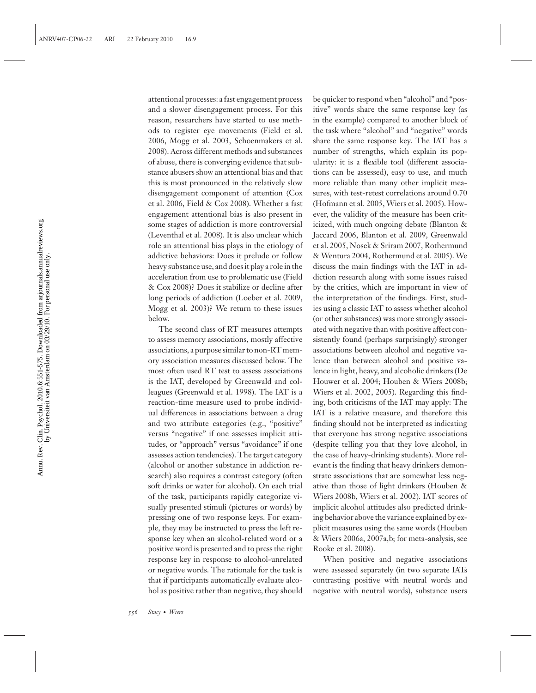attentional processes: a fast engagement process and a slower disengagement process. For this reason, researchers have started to use methods to register eye movements (Field et al. 2006, Mogg et al. 2003, Schoenmakers et al. 2008). Across different methods and substances of abuse, there is converging evidence that substance abusers show an attentional bias and that this is most pronounced in the relatively slow disengagement component of attention (Cox et al. 2006, Field & Cox 2008). Whether a fast engagement attentional bias is also present in some stages of addiction is more controversial (Leventhal et al. 2008). It is also unclear which role an attentional bias plays in the etiology of addictive behaviors: Does it prelude or follow heavy substance use, and does it play a role in the acceleration from use to problematic use (Field & Cox 2008)? Does it stabilize or decline after long periods of addiction (Loeber et al. 2009, Mogg et al. 2003)? We return to these issues below.

The second class of RT measures attempts to assess memory associations, mostly affective associations, a purpose similar to non-RT memory association measures discussed below. The most often used RT test to assess associations is the IAT, developed by Greenwald and colleagues (Greenwald et al. 1998). The IAT is a reaction-time measure used to probe individual differences in associations between a drug and two attribute categories (e.g., "positive" versus "negative" if one assesses implicit attitudes, or "approach" versus "avoidance" if one assesses action tendencies). The target category (alcohol or another substance in addiction research) also requires a contrast category (often soft drinks or water for alcohol). On each trial of the task, participants rapidly categorize visually presented stimuli (pictures or words) by pressing one of two response keys. For example, they may be instructed to press the left response key when an alcohol-related word or a positive word is presented and to press the right response key in response to alcohol-unrelated or negative words. The rationale for the task is that if participants automatically evaluate alcohol as positive rather than negative, they should

be quicker to respond when "alcohol" and "positive" words share the same response key (as in the example) compared to another block of the task where "alcohol" and "negative" words share the same response key. The IAT has a number of strengths, which explain its popularity: it is a flexible tool (different associations can be assessed), easy to use, and much more reliable than many other implicit measures, with test-retest correlations around 0.70 (Hofmann et al. 2005, Wiers et al. 2005). However, the validity of the measure has been criticized, with much ongoing debate (Blanton & Jaccard 2006, Blanton et al. 2009, Greenwald et al. 2005, Nosek & Sriram 2007, Rothermund & Wentura 2004, Rothermund et al. 2005). We discuss the main findings with the IAT in addiction research along with some issues raised by the critics, which are important in view of the interpretation of the findings. First, studies using a classic IAT to assess whether alcohol (or other substances) was more strongly associated with negative than with positive affect consistently found (perhaps surprisingly) stronger associations between alcohol and negative valence than between alcohol and positive valence in light, heavy, and alcoholic drinkers (De Houwer et al. 2004; Houben & Wiers 2008b; Wiers et al. 2002, 2005). Regarding this finding, both criticisms of the IAT may apply: The IAT is a relative measure, and therefore this finding should not be interpreted as indicating that everyone has strong negative associations (despite telling you that they love alcohol, in the case of heavy-drinking students). More relevant is the finding that heavy drinkers demonstrate associations that are somewhat less negative than those of light drinkers (Houben & Wiers 2008b, Wiers et al. 2002). IAT scores of implicit alcohol attitudes also predicted drinking behavior above the variance explained by explicit measures using the same words (Houben & Wiers 2006a, 2007a,b; for meta-analysis, see Rooke et al. 2008).

When positive and negative associations were assessed separately (in two separate IATs contrasting positive with neutral words and negative with neutral words), substance users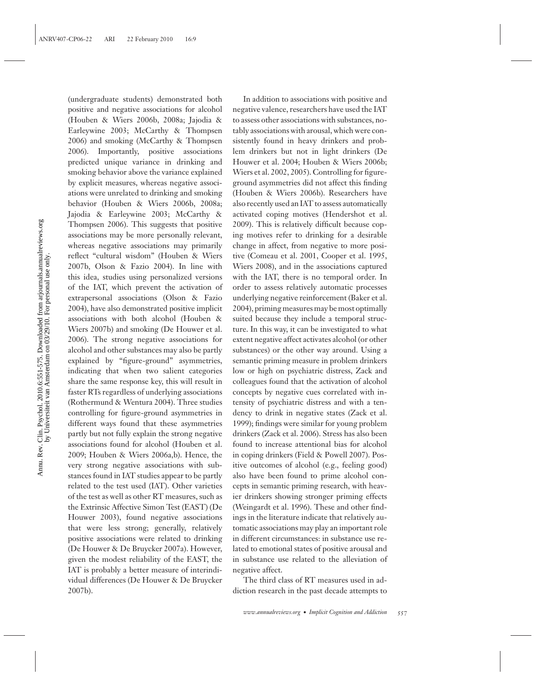(undergraduate students) demonstrated both positive and negative associations for alcohol (Houben & Wiers 2006b, 2008a; Jajodia & Earleywine 2003; McCarthy & Thompsen 2006) and smoking (McCarthy & Thompsen 2006). Importantly, positive associations predicted unique variance in drinking and smoking behavior above the variance explained by explicit measures, whereas negative associations were unrelated to drinking and smoking behavior (Houben & Wiers 2006b, 2008a; Jajodia & Earleywine 2003; McCarthy & Thompsen 2006). This suggests that positive associations may be more personally relevant, whereas negative associations may primarily reflect "cultural wisdom" (Houben & Wiers 2007b, Olson & Fazio 2004). In line with this idea, studies using personalized versions of the IAT, which prevent the activation of extrapersonal associations (Olson & Fazio 2004), have also demonstrated positive implicit associations with both alcohol (Houben & Wiers 2007b) and smoking (De Houwer et al. 2006). The strong negative associations for alcohol and other substances may also be partly explained by "figure-ground" asymmetries, indicating that when two salient categories share the same response key, this will result in faster RTs regardless of underlying associations (Rothermund & Wentura 2004). Three studies controlling for figure-ground asymmetries in different ways found that these asymmetries partly but not fully explain the strong negative associations found for alcohol (Houben et al. 2009; Houben & Wiers 2006a,b). Hence, the very strong negative associations with substances found in IAT studies appear to be partly related to the test used (IAT). Other varieties of the test as well as other RT measures, such as the Extrinsic Affective Simon Test (EAST) (De Houwer 2003), found negative associations that were less strong; generally, relatively positive associations were related to drinking (De Houwer & De Bruycker 2007a). However, given the modest reliability of the EAST, the IAT is probably a better measure of interindividual differences (De Houwer & De Bruycker 2007b).

In addition to associations with positive and negative valence, researchers have used the IAT to assess other associations with substances, notably associations with arousal, which were consistently found in heavy drinkers and problem drinkers but not in light drinkers (De Houwer et al. 2004; Houben & Wiers 2006b; Wiers et al. 2002, 2005). Controlling for figureground asymmetries did not affect this finding (Houben & Wiers 2006b). Researchers have also recently used an IAT to assess automatically activated coping motives (Hendershot et al. 2009). This is relatively difficult because coping motives refer to drinking for a desirable change in affect, from negative to more positive (Comeau et al. 2001, Cooper et al. 1995, Wiers 2008), and in the associations captured with the IAT, there is no temporal order. In order to assess relatively automatic processes underlying negative reinforcement (Baker et al. 2004), priming measures may be most optimally suited because they include a temporal structure. In this way, it can be investigated to what extent negative affect activates alcohol (or other substances) or the other way around. Using a semantic priming measure in problem drinkers low or high on psychiatric distress, Zack and colleagues found that the activation of alcohol concepts by negative cues correlated with intensity of psychiatric distress and with a tendency to drink in negative states (Zack et al. 1999); findings were similar for young problem drinkers (Zack et al. 2006). Stress has also been found to increase attentional bias for alcohol in coping drinkers (Field & Powell 2007). Positive outcomes of alcohol (e.g., feeling good) also have been found to prime alcohol concepts in semantic priming research, with heavier drinkers showing stronger priming effects (Weingardt et al. 1996). These and other findings in the literature indicate that relatively automatic associations may play an important role in different circumstances: in substance use related to emotional states of positive arousal and in substance use related to the alleviation of negative affect.

The third class of RT measures used in addiction research in the past decade attempts to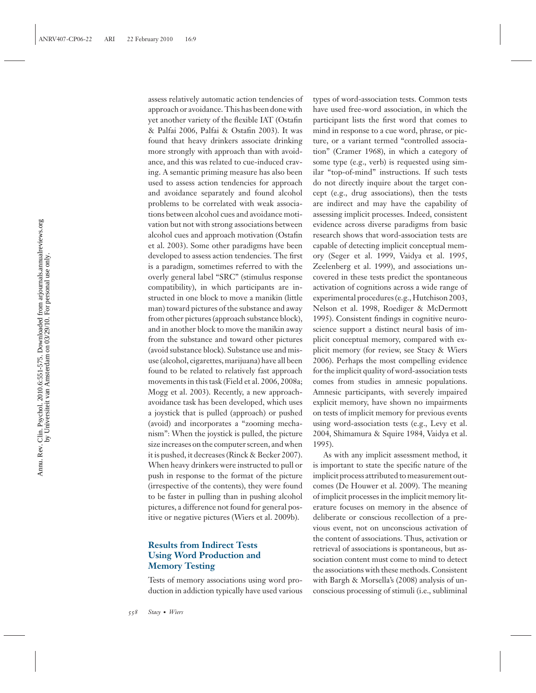assess relatively automatic action tendencies of approach or avoidance. This has been done with yet another variety of the flexible IAT (Ostafin & Palfai 2006, Palfai & Ostafin 2003). It was found that heavy drinkers associate drinking more strongly with approach than with avoidance, and this was related to cue-induced craving. A semantic priming measure has also been used to assess action tendencies for approach and avoidance separately and found alcohol problems to be correlated with weak associations between alcohol cues and avoidance motivation but not with strong associations between alcohol cues and approach motivation (Ostafin et al. 2003). Some other paradigms have been developed to assess action tendencies. The first is a paradigm, sometimes referred to with the overly general label "SRC" (stimulus response compatibility), in which participants are instructed in one block to move a manikin (little man) toward pictures of the substance and away from other pictures (approach substance block), and in another block to move the manikin away from the substance and toward other pictures (avoid substance block). Substance use and misuse (alcohol, cigarettes, marijuana) have all been found to be related to relatively fast approach movements in this task (Field et al. 2006, 2008a; Mogg et al. 2003). Recently, a new approachavoidance task has been developed, which uses a joystick that is pulled (approach) or pushed (avoid) and incorporates a "zooming mechanism": When the joystick is pulled, the picture size increases on the computer screen, and when it is pushed, it decreases (Rinck & Becker 2007). When heavy drinkers were instructed to pull or push in response to the format of the picture (irrespective of the contents), they were found to be faster in pulling than in pushing alcohol pictures, a difference not found for general positive or negative pictures (Wiers et al. 2009b).

### **Results from Indirect Tests Using Word Production and Memory Testing**

Tests of memory associations using word production in addiction typically have used various types of word-association tests. Common tests have used free-word association, in which the participant lists the first word that comes to mind in response to a cue word, phrase, or picture, or a variant termed "controlled association" (Cramer 1968), in which a category of some type (e.g., verb) is requested using similar "top-of-mind" instructions. If such tests do not directly inquire about the target concept (e.g., drug associations), then the tests are indirect and may have the capability of assessing implicit processes. Indeed, consistent evidence across diverse paradigms from basic research shows that word-association tests are capable of detecting implicit conceptual memory (Seger et al. 1999, Vaidya et al. 1995, Zeelenberg et al. 1999), and associations uncovered in these tests predict the spontaneous activation of cognitions across a wide range of experimental procedures (e.g., Hutchison 2003, Nelson et al. 1998, Roediger & McDermott 1995). Consistent findings in cognitive neuroscience support a distinct neural basis of implicit conceptual memory, compared with explicit memory (for review, see Stacy & Wiers 2006). Perhaps the most compelling evidence for the implicit quality of word-association tests comes from studies in amnesic populations. Amnesic participants, with severely impaired explicit memory, have shown no impairments on tests of implicit memory for previous events using word-association tests (e.g., Levy et al. 2004, Shimamura & Squire 1984, Vaidya et al. 1995).

As with any implicit assessment method, it is important to state the specific nature of the implicit process attributed to measurement outcomes (De Houwer et al. 2009). The meaning of implicit processes in the implicit memory literature focuses on memory in the absence of deliberate or conscious recollection of a previous event, not on unconscious activation of the content of associations. Thus, activation or retrieval of associations is spontaneous, but association content must come to mind to detect the associations with these methods. Consistent with Bargh & Morsella's (2008) analysis of unconscious processing of stimuli (i.e., subliminal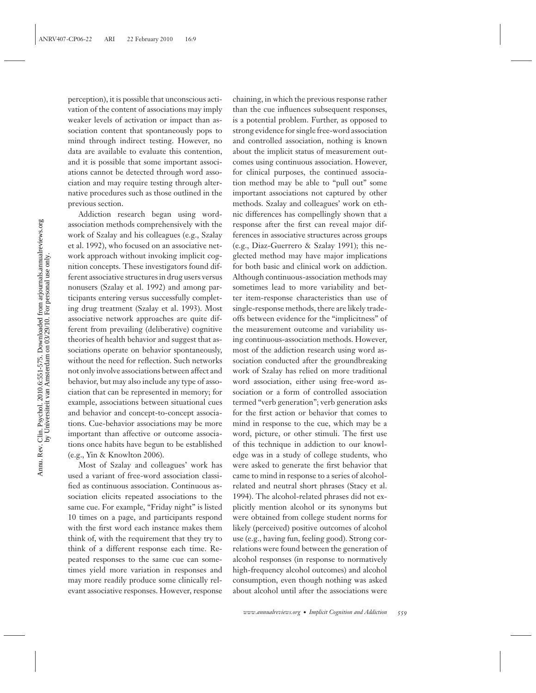perception), it is possible that unconscious activation of the content of associations may imply weaker levels of activation or impact than association content that spontaneously pops to mind through indirect testing. However, no data are available to evaluate this contention, and it is possible that some important associations cannot be detected through word association and may require testing through alternative procedures such as those outlined in the previous section.

Addiction research began using wordassociation methods comprehensively with the work of Szalay and his colleagues (e.g., Szalay et al. 1992), who focused on an associative network approach without invoking implicit cognition concepts. These investigators found different associative structures in drug users versus nonusers (Szalay et al. 1992) and among participants entering versus successfully completing drug treatment (Szalay et al. 1993). Most associative network approaches are quite different from prevailing (deliberative) cognitive theories of health behavior and suggest that associations operate on behavior spontaneously, without the need for reflection. Such networks not only involve associations between affect and behavior, but may also include any type of association that can be represented in memory; for example, associations between situational cues and behavior and concept-to-concept associations. Cue-behavior associations may be more important than affective or outcome associations once habits have begun to be established (e.g., Yin & Knowlton 2006).

Most of Szalay and colleagues' work has used a variant of free-word association classified as continuous association. Continuous association elicits repeated associations to the same cue. For example, "Friday night" is listed 10 times on a page, and participants respond with the first word each instance makes them think of, with the requirement that they try to think of a different response each time. Repeated responses to the same cue can sometimes yield more variation in responses and may more readily produce some clinically relevant associative responses. However, response chaining, in which the previous response rather than the cue influences subsequent responses, is a potential problem. Further, as opposed to strong evidence for single free-word association and controlled association, nothing is known about the implicit status of measurement outcomes using continuous association. However, for clinical purposes, the continued association method may be able to "pull out" some important associations not captured by other methods. Szalay and colleagues' work on ethnic differences has compellingly shown that a response after the first can reveal major differences in associative structures across groups (e.g., Diaz-Guerrero & Szalay 1991); this neglected method may have major implications for both basic and clinical work on addiction. Although continuous-association methods may sometimes lead to more variability and better item-response characteristics than use of single-response methods, there are likely tradeoffs between evidence for the "implicitness" of the measurement outcome and variability using continuous-association methods. However, most of the addiction research using word association conducted after the groundbreaking work of Szalay has relied on more traditional word association, either using free-word association or a form of controlled association termed "verb generation"; verb generation asks for the first action or behavior that comes to mind in response to the cue, which may be a word, picture, or other stimuli. The first use of this technique in addiction to our knowledge was in a study of college students, who were asked to generate the first behavior that came to mind in response to a series of alcoholrelated and neutral short phrases (Stacy et al. 1994). The alcohol-related phrases did not explicitly mention alcohol or its synonyms but were obtained from college student norms for likely (perceived) positive outcomes of alcohol use (e.g., having fun, feeling good). Strong correlations were found between the generation of alcohol responses (in response to normatively high-frequency alcohol outcomes) and alcohol consumption, even though nothing was asked about alcohol until after the associations were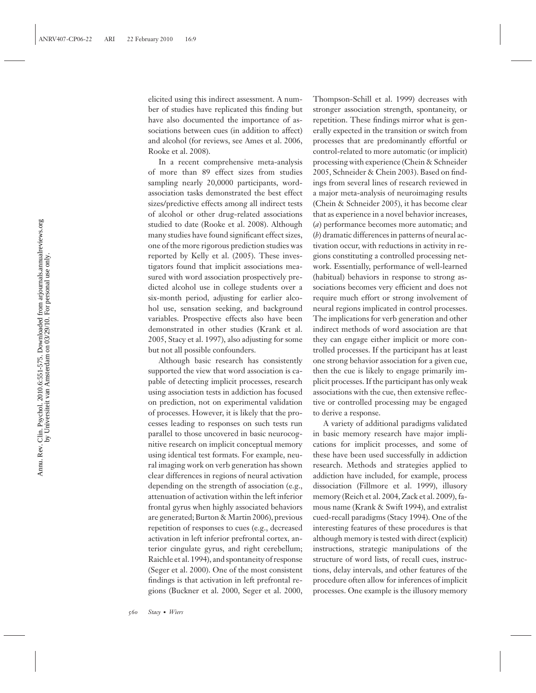elicited using this indirect assessment. A number of studies have replicated this finding but have also documented the importance of associations between cues (in addition to affect) and alcohol (for reviews, see Ames et al. 2006, Rooke et al. 2008).

In a recent comprehensive meta-analysis of more than 89 effect sizes from studies sampling nearly 20,0000 participants, wordassociation tasks demonstrated the best effect sizes/predictive effects among all indirect tests of alcohol or other drug-related associations studied to date (Rooke et al. 2008). Although many studies have found significant effect sizes, one of the more rigorous prediction studies was reported by Kelly et al. (2005). These investigators found that implicit associations measured with word association prospectively predicted alcohol use in college students over a six-month period, adjusting for earlier alcohol use, sensation seeking, and background variables. Prospective effects also have been demonstrated in other studies (Krank et al. 2005, Stacy et al. 1997), also adjusting for some but not all possible confounders.

Although basic research has consistently supported the view that word association is capable of detecting implicit processes, research using association tests in addiction has focused on prediction, not on experimental validation of processes. However, it is likely that the processes leading to responses on such tests run parallel to those uncovered in basic neurocognitive research on implicit conceptual memory using identical test formats. For example, neural imaging work on verb generation has shown clear differences in regions of neural activation depending on the strength of association (e.g., attenuation of activation within the left inferior frontal gyrus when highly associated behaviors are generated; Burton & Martin 2006), previous repetition of responses to cues (e.g., decreased activation in left inferior prefrontal cortex, anterior cingulate gyrus, and right cerebellum; Raichle et al. 1994), and spontaneity of response (Seger et al. 2000). One of the most consistent findings is that activation in left prefrontal regions (Buckner et al. 2000, Seger et al. 2000,

Thompson-Schill et al. 1999) decreases with stronger association strength, spontaneity, or repetition. These findings mirror what is generally expected in the transition or switch from processes that are predominantly effortful or control-related to more automatic (or implicit) processing with experience (Chein & Schneider 2005, Schneider & Chein 2003). Based on findings from several lines of research reviewed in a major meta-analysis of neuroimaging results (Chein & Schneider 2005), it has become clear that as experience in a novel behavior increases, (*a*) performance becomes more automatic; and (*b*) dramatic differences in patterns of neural activation occur, with reductions in activity in regions constituting a controlled processing network. Essentially, performance of well-learned (habitual) behaviors in response to strong associations becomes very efficient and does not require much effort or strong involvement of neural regions implicated in control processes. The implications for verb generation and other indirect methods of word association are that they can engage either implicit or more controlled processes. If the participant has at least one strong behavior association for a given cue, then the cue is likely to engage primarily implicit processes. If the participant has only weak associations with the cue, then extensive reflective or controlled processing may be engaged to derive a response.

A variety of additional paradigms validated in basic memory research have major implications for implicit processes, and some of these have been used successfully in addiction research. Methods and strategies applied to addiction have included, for example, process dissociation (Fillmore et al. 1999), illusory memory (Reich et al. 2004, Zack et al. 2009), famous name (Krank & Swift 1994), and extralist cued-recall paradigms (Stacy 1994). One of the interesting features of these procedures is that although memory is tested with direct (explicit) instructions, strategic manipulations of the structure of word lists, of recall cues, instructions, delay intervals, and other features of the procedure often allow for inferences of implicit processes. One example is the illusory memory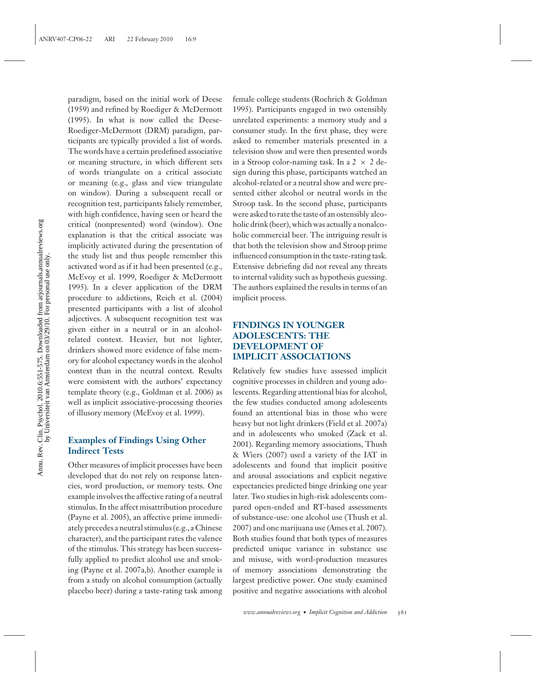paradigm, based on the initial work of Deese (1959) and refined by Roediger & McDermott (1995). In what is now called the Deese-Roediger-McDermott (DRM) paradigm, participants are typically provided a list of words. The words have a certain predefined associative or meaning structure, in which different sets of words triangulate on a critical associate or meaning (e.g., glass and view triangulate on window). During a subsequent recall or recognition test, participants falsely remember, with high confidence, having seen or heard the critical (nonpresented) word (window). One explanation is that the critical associate was implicitly activated during the presentation of the study list and thus people remember this activated word as if it had been presented (e.g., McEvoy et al. 1999, Roediger & McDermott 1995). In a clever application of the DRM procedure to addictions, Reich et al. (2004) presented participants with a list of alcohol adjectives. A subsequent recognition test was given either in a neutral or in an alcoholrelated context. Heavier, but not lighter, drinkers showed more evidence of false memory for alcohol expectancy words in the alcohol context than in the neutral context. Results were consistent with the authors' expectancy template theory (e.g., Goldman et al. 2006) as well as implicit associative-processing theories of illusory memory (McEvoy et al. 1999).

### **Examples of Findings Using Other Indirect Tests**

Other measures of implicit processes have been developed that do not rely on response latencies, word production, or memory tests. One example involves the affective rating of a neutral stimulus. In the affect misattribution procedure (Payne et al. 2005), an affective prime immediately precedes a neutral stimulus (e.g., a Chinese character), and the participant rates the valence of the stimulus. This strategy has been successfully applied to predict alcohol use and smoking (Payne et al. 2007a,b). Another example is from a study on alcohol consumption (actually placebo beer) during a taste-rating task among female college students (Roehrich & Goldman 1995). Participants engaged in two ostensibly unrelated experiments: a memory study and a consumer study. In the first phase, they were asked to remember materials presented in a television show and were then presented words in a Stroop color-naming task. In a  $2 \times 2$  design during this phase, participants watched an alcohol-related or a neutral show and were presented either alcohol or neutral words in the Stroop task. In the second phase, participants were asked to rate the taste of an ostensibly alcoholic drink (beer), which was actually a nonalcoholic commercial beer. The intriguing result is that both the television show and Stroop prime influenced consumption in the taste-rating task. Extensive debriefing did not reveal any threats to internal validity such as hypothesis guessing. The authors explained the results in terms of an implicit process.

# **FINDINGS IN YOUNGER ADOLESCENTS: THE DEVELOPMENT OF IMPLICIT ASSOCIATIONS**

Relatively few studies have assessed implicit cognitive processes in children and young adolescents. Regarding attentional bias for alcohol, the few studies conducted among adolescents found an attentional bias in those who were heavy but not light drinkers (Field et al. 2007a) and in adolescents who smoked (Zack et al. 2001). Regarding memory associations, Thush & Wiers (2007) used a variety of the IAT in adolescents and found that implicit positive and arousal associations and explicit negative expectancies predicted binge drinking one year later. Two studies in high-risk adolescents compared open-ended and RT-based assessments of substance-use: one alcohol use (Thush et al. 2007) and one marijuana use (Ames et al. 2007). Both studies found that both types of measures predicted unique variance in substance use and misuse, with word-production measures of memory associations demonstrating the largest predictive power. One study examined positive and negative associations with alcohol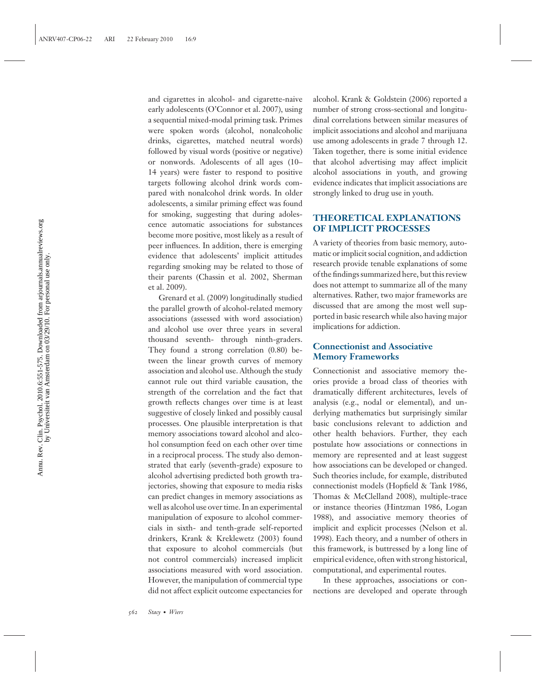and cigarettes in alcohol- and cigarette-naive early adolescents (O'Connor et al. 2007), using a sequential mixed-modal priming task. Primes were spoken words (alcohol, nonalcoholic drinks, cigarettes, matched neutral words) followed by visual words (positive or negative) or nonwords. Adolescents of all ages (10– 14 years) were faster to respond to positive targets following alcohol drink words compared with nonalcohol drink words. In older adolescents, a similar priming effect was found for smoking, suggesting that during adolescence automatic associations for substances become more positive, most likely as a result of peer influences. In addition, there is emerging evidence that adolescents' implicit attitudes regarding smoking may be related to those of their parents (Chassin et al. 2002, Sherman et al. 2009).

Grenard et al. (2009) longitudinally studied the parallel growth of alcohol-related memory associations (assessed with word association) and alcohol use over three years in several thousand seventh- through ninth-graders. They found a strong correlation (0.80) between the linear growth curves of memory association and alcohol use. Although the study cannot rule out third variable causation, the strength of the correlation and the fact that growth reflects changes over time is at least suggestive of closely linked and possibly causal processes. One plausible interpretation is that memory associations toward alcohol and alcohol consumption feed on each other over time in a reciprocal process. The study also demonstrated that early (seventh-grade) exposure to alcohol advertising predicted both growth trajectories, showing that exposure to media risks can predict changes in memory associations as well as alcohol use over time. In an experimental manipulation of exposure to alcohol commercials in sixth- and tenth-grade self-reported drinkers, Krank & Kreklewetz (2003) found that exposure to alcohol commercials (but not control commercials) increased implicit associations measured with word association. However, the manipulation of commercial type did not affect explicit outcome expectancies for

alcohol. Krank & Goldstein (2006) reported a number of strong cross-sectional and longitudinal correlations between similar measures of implicit associations and alcohol and marijuana use among adolescents in grade 7 through 12. Taken together, there is some initial evidence that alcohol advertising may affect implicit alcohol associations in youth, and growing evidence indicates that implicit associations are strongly linked to drug use in youth.

#### **THEORETICAL EXPLANATIONS OF IMPLICIT PROCESSES**

A variety of theories from basic memory, automatic or implicit social cognition, and addiction research provide tenable explanations of some of the findings summarized here, but this review does not attempt to summarize all of the many alternatives. Rather, two major frameworks are discussed that are among the most well supported in basic research while also having major implications for addiction.

## **Connectionist and Associative Memory Frameworks**

Connectionist and associative memory theories provide a broad class of theories with dramatically different architectures, levels of analysis (e.g., nodal or elemental), and underlying mathematics but surprisingly similar basic conclusions relevant to addiction and other health behaviors. Further, they each postulate how associations or connections in memory are represented and at least suggest how associations can be developed or changed. Such theories include, for example, distributed connectionist models (Hopfield & Tank 1986, Thomas & McClelland 2008), multiple-trace or instance theories (Hintzman 1986, Logan 1988), and associative memory theories of implicit and explicit processes (Nelson et al. 1998). Each theory, and a number of others in this framework, is buttressed by a long line of empirical evidence, often with strong historical, computational, and experimental routes.

In these approaches, associations or connections are developed and operate through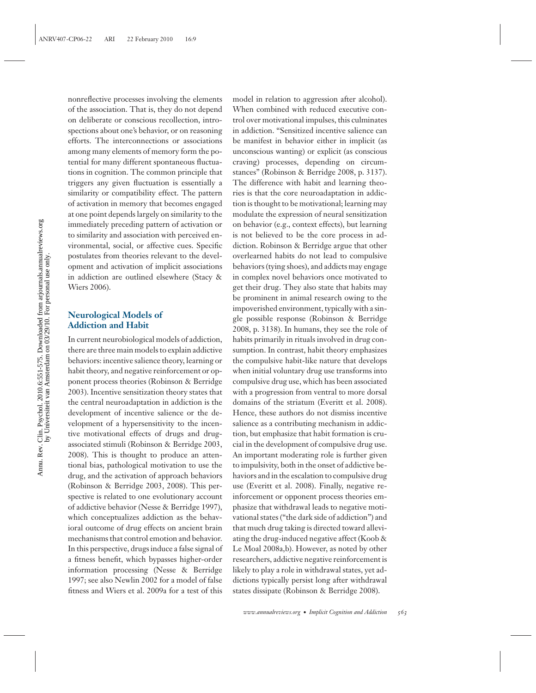nonreflective processes involving the elements of the association. That is, they do not depend on deliberate or conscious recollection, introspections about one's behavior, or on reasoning efforts. The interconnections or associations among many elements of memory form the potential for many different spontaneous fluctuations in cognition. The common principle that triggers any given fluctuation is essentially a similarity or compatibility effect. The pattern of activation in memory that becomes engaged at one point depends largely on similarity to the immediately preceding pattern of activation or to similarity and association with perceived environmental, social, or affective cues. Specific postulates from theories relevant to the development and activation of implicit associations in addiction are outlined elsewhere (Stacy & Wiers 2006).

#### **Neurological Models of Addiction and Habit**

In current neurobiological models of addiction, there are three main models to explain addictive behaviors: incentive salience theory, learning or habit theory, and negative reinforcement or opponent process theories (Robinson & Berridge 2003). Incentive sensitization theory states that the central neuroadaptation in addiction is the development of incentive salience or the development of a hypersensitivity to the incentive motivational effects of drugs and drugassociated stimuli (Robinson & Berridge 2003, 2008). This is thought to produce an attentional bias, pathological motivation to use the drug, and the activation of approach behaviors (Robinson & Berridge 2003, 2008). This perspective is related to one evolutionary account of addictive behavior (Nesse & Berridge 1997), which conceptualizes addiction as the behavioral outcome of drug effects on ancient brain mechanisms that control emotion and behavior. In this perspective, drugs induce a false signal of a fitness benefit, which bypasses higher-order information processing (Nesse & Berridge 1997; see also Newlin 2002 for a model of false fitness and Wiers et al. 2009a for a test of this model in relation to aggression after alcohol). When combined with reduced executive control over motivational impulses, this culminates in addiction. "Sensitized incentive salience can be manifest in behavior either in implicit (as unconscious wanting) or explicit (as conscious craving) processes, depending on circumstances" (Robinson & Berridge 2008, p. 3137). The difference with habit and learning theories is that the core neuroadaptation in addiction is thought to be motivational; learning may modulate the expression of neural sensitization on behavior (e.g., context effects), but learning is not believed to be the core process in addiction. Robinson & Berridge argue that other overlearned habits do not lead to compulsive behaviors (tying shoes), and addicts may engage in complex novel behaviors once motivated to get their drug. They also state that habits may be prominent in animal research owing to the impoverished environment, typically with a single possible response (Robinson & Berridge 2008, p. 3138). In humans, they see the role of habits primarily in rituals involved in drug consumption. In contrast, habit theory emphasizes the compulsive habit-like nature that develops when initial voluntary drug use transforms into compulsive drug use, which has been associated with a progression from ventral to more dorsal domains of the striatum (Everitt et al. 2008). Hence, these authors do not dismiss incentive salience as a contributing mechanism in addiction, but emphasize that habit formation is crucial in the development of compulsive drug use. An important moderating role is further given to impulsivity, both in the onset of addictive behaviors and in the escalation to compulsive drug use (Everitt et al. 2008). Finally, negative reinforcement or opponent process theories emphasize that withdrawal leads to negative motivational states ("the dark side of addiction") and that much drug taking is directed toward alleviating the drug-induced negative affect (Koob & Le Moal 2008a,b). However, as noted by other researchers, addictive negative reinforcement is likely to play a role in withdrawal states, yet addictions typically persist long after withdrawal states dissipate (Robinson & Berridge 2008).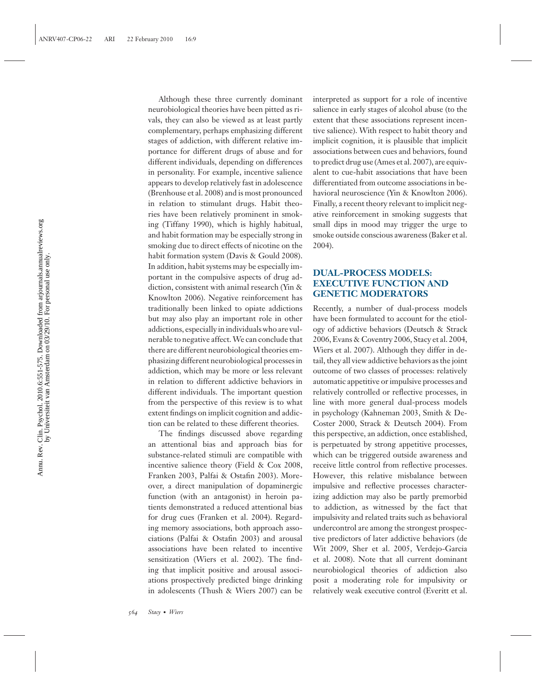Although these three currently dominant neurobiological theories have been pitted as rivals, they can also be viewed as at least partly complementary, perhaps emphasizing different stages of addiction, with different relative importance for different drugs of abuse and for different individuals, depending on differences in personality. For example, incentive salience appears to develop relatively fast in adolescence (Brenhouse et al. 2008) and is most pronounced in relation to stimulant drugs. Habit theories have been relatively prominent in smoking (Tiffany 1990), which is highly habitual, and habit formation may be especially strong in smoking due to direct effects of nicotine on the habit formation system (Davis & Gould 2008). In addition, habit systems may be especially important in the compulsive aspects of drug addiction, consistent with animal research (Yin & Knowlton 2006). Negative reinforcement has traditionally been linked to opiate addictions but may also play an important role in other addictions, especially in individuals who are vulnerable to negative affect. We can conclude that there are different neurobiological theories emphasizing different neurobiological processes in addiction, which may be more or less relevant in relation to different addictive behaviors in different individuals. The important question from the perspective of this review is to what extent findings on implicit cognition and addiction can be related to these different theories.

The findings discussed above regarding an attentional bias and approach bias for substance-related stimuli are compatible with incentive salience theory (Field & Cox 2008, Franken 2003, Palfai & Ostafin 2003). Moreover, a direct manipulation of dopaminergic function (with an antagonist) in heroin patients demonstrated a reduced attentional bias for drug cues (Franken et al. 2004). Regarding memory associations, both approach associations (Palfai & Ostafin 2003) and arousal associations have been related to incentive sensitization (Wiers et al. 2002). The finding that implicit positive and arousal associations prospectively predicted binge drinking in adolescents (Thush & Wiers 2007) can be

interpreted as support for a role of incentive salience in early stages of alcohol abuse (to the extent that these associations represent incentive salience). With respect to habit theory and implicit cognition, it is plausible that implicit associations between cues and behaviors, found to predict drug use (Ames et al. 2007), are equivalent to cue-habit associations that have been differentiated from outcome associations in behavioral neuroscience (Yin & Knowlton 2006). Finally, a recent theory relevant to implicit negative reinforcement in smoking suggests that small dips in mood may trigger the urge to smoke outside conscious awareness (Baker et al. 2004).

# **DUAL-PROCESS MODELS: EXECUTIVE FUNCTION AND GENETIC MODERATORS**

Recently, a number of dual-process models have been formulated to account for the etiology of addictive behaviors (Deutsch & Strack 2006, Evans & Coventry 2006, Stacy et al. 2004, Wiers et al. 2007). Although they differ in detail, they all view addictive behaviors as the joint outcome of two classes of processes: relatively automatic appetitive or impulsive processes and relatively controlled or reflective processes, in line with more general dual-process models in psychology (Kahneman 2003, Smith & De-Coster 2000, Strack & Deutsch 2004). From this perspective, an addiction, once established, is perpetuated by strong appetitive processes, which can be triggered outside awareness and receive little control from reflective processes. However, this relative misbalance between impulsive and reflective processes characterizing addiction may also be partly premorbid to addiction, as witnessed by the fact that impulsivity and related traits such as behavioral undercontrol are among the strongest prospective predictors of later addictive behaviors (de Wit 2009, Sher et al. 2005, Verdejo-Garcia et al. 2008). Note that all current dominant neurobiological theories of addiction also posit a moderating role for impulsivity or relatively weak executive control (Everitt et al.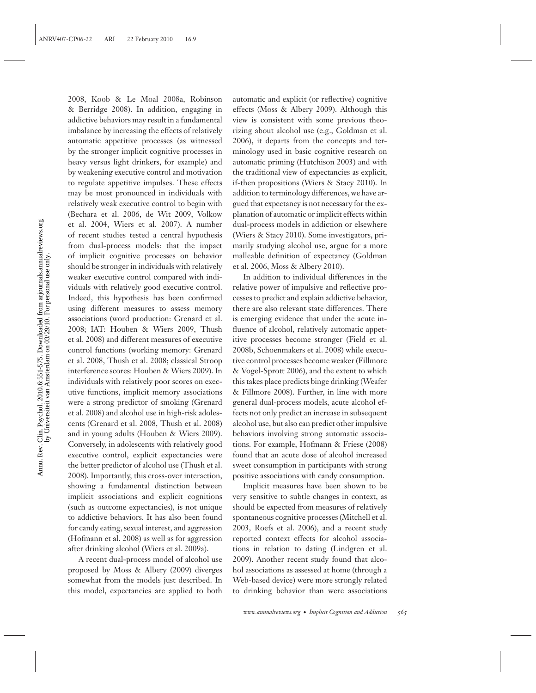2008, Koob & Le Moal 2008a, Robinson & Berridge 2008). In addition, engaging in addictive behaviors may result in a fundamental imbalance by increasing the effects of relatively automatic appetitive processes (as witnessed by the stronger implicit cognitive processes in heavy versus light drinkers, for example) and by weakening executive control and motivation to regulate appetitive impulses. These effects may be most pronounced in individuals with relatively weak executive control to begin with (Bechara et al. 2006, de Wit 2009, Volkow et al. 2004, Wiers et al. 2007). A number of recent studies tested a central hypothesis from dual-process models: that the impact of implicit cognitive processes on behavior should be stronger in individuals with relatively weaker executive control compared with individuals with relatively good executive control. Indeed, this hypothesis has been confirmed using different measures to assess memory associations (word production: Grenard et al. 2008; IAT: Houben & Wiers 2009, Thush et al. 2008) and different measures of executive control functions (working memory: Grenard et al. 2008, Thush et al. 2008; classical Stroop interference scores: Houben & Wiers 2009). In individuals with relatively poor scores on executive functions, implicit memory associations were a strong predictor of smoking (Grenard et al. 2008) and alcohol use in high-risk adolescents (Grenard et al. 2008, Thush et al. 2008) and in young adults (Houben & Wiers 2009). Conversely, in adolescents with relatively good executive control, explicit expectancies were the better predictor of alcohol use (Thush et al. 2008). Importantly, this cross-over interaction, showing a fundamental distinction between implicit associations and explicit cognitions (such as outcome expectancies), is not unique to addictive behaviors. It has also been found for candy eating, sexual interest, and aggression (Hofmann et al. 2008) as well as for aggression after drinking alcohol (Wiers et al. 2009a).

A recent dual-process model of alcohol use proposed by Moss & Albery (2009) diverges somewhat from the models just described. In this model, expectancies are applied to both automatic and explicit (or reflective) cognitive effects (Moss & Albery 2009). Although this view is consistent with some previous theorizing about alcohol use (e.g., Goldman et al. 2006), it departs from the concepts and terminology used in basic cognitive research on automatic priming (Hutchison 2003) and with the traditional view of expectancies as explicit, if-then propositions (Wiers & Stacy 2010). In addition to terminology differences, we have argued that expectancy is not necessary for the explanation of automatic or implicit effects within dual-process models in addiction or elsewhere (Wiers & Stacy 2010). Some investigators, primarily studying alcohol use, argue for a more malleable definition of expectancy (Goldman et al. 2006, Moss & Albery 2010).

In addition to individual differences in the relative power of impulsive and reflective processes to predict and explain addictive behavior, there are also relevant state differences. There is emerging evidence that under the acute influence of alcohol, relatively automatic appetitive processes become stronger (Field et al. 2008b, Schoenmakers et al. 2008) while executive control processes become weaker (Fillmore & Vogel-Sprott 2006), and the extent to which this takes place predicts binge drinking (Weafer & Fillmore 2008). Further, in line with more general dual-process models, acute alcohol effects not only predict an increase in subsequent alcohol use, but also can predict other impulsive behaviors involving strong automatic associations. For example, Hofmann & Friese (2008) found that an acute dose of alcohol increased sweet consumption in participants with strong positive associations with candy consumption.

Implicit measures have been shown to be very sensitive to subtle changes in context, as should be expected from measures of relatively spontaneous cognitive processes (Mitchell et al. 2003, Roefs et al. 2006), and a recent study reported context effects for alcohol associations in relation to dating (Lindgren et al. 2009). Another recent study found that alcohol associations as assessed at home (through a Web-based device) were more strongly related to drinking behavior than were associations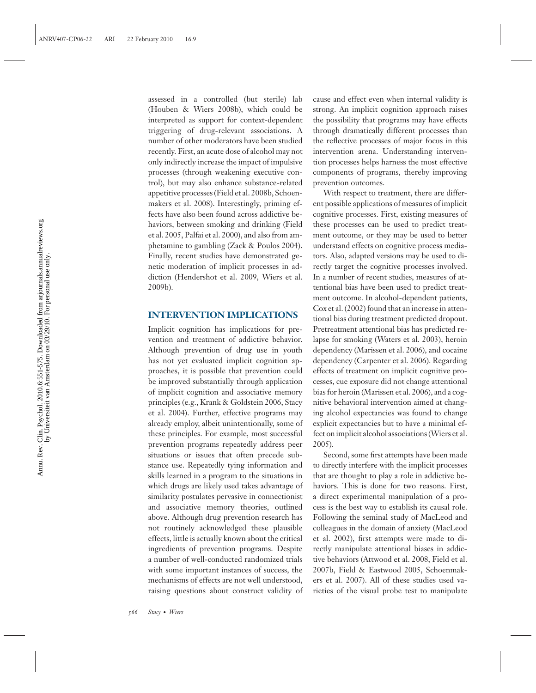assessed in a controlled (but sterile) lab (Houben & Wiers 2008b), which could be interpreted as support for context-dependent triggering of drug-relevant associations. A number of other moderators have been studied recently. First, an acute dose of alcohol may not only indirectly increase the impact of impulsive processes (through weakening executive control), but may also enhance substance-related appetitive processes (Field et al. 2008b, Schoenmakers et al. 2008). Interestingly, priming effects have also been found across addictive behaviors, between smoking and drinking (Field et al. 2005, Palfai et al. 2000), and also from amphetamine to gambling (Zack & Poulos 2004). Finally, recent studies have demonstrated genetic moderation of implicit processes in addiction (Hendershot et al. 2009, Wiers et al. 2009b).

#### **INTERVENTION IMPLICATIONS**

Implicit cognition has implications for prevention and treatment of addictive behavior. Although prevention of drug use in youth has not yet evaluated implicit cognition approaches, it is possible that prevention could be improved substantially through application of implicit cognition and associative memory principles (e.g., Krank & Goldstein 2006, Stacy et al. 2004). Further, effective programs may already employ, albeit unintentionally, some of these principles. For example, most successful prevention programs repeatedly address peer situations or issues that often precede substance use. Repeatedly tying information and skills learned in a program to the situations in which drugs are likely used takes advantage of similarity postulates pervasive in connectionist and associative memory theories, outlined above. Although drug prevention research has not routinely acknowledged these plausible effects, little is actually known about the critical ingredients of prevention programs. Despite a number of well-conducted randomized trials with some important instances of success, the mechanisms of effects are not well understood, raising questions about construct validity of cause and effect even when internal validity is strong. An implicit cognition approach raises the possibility that programs may have effects through dramatically different processes than the reflective processes of major focus in this intervention arena. Understanding intervention processes helps harness the most effective components of programs, thereby improving prevention outcomes.

With respect to treatment, there are different possible applications of measures of implicit cognitive processes. First, existing measures of these processes can be used to predict treatment outcome, or they may be used to better understand effects on cognitive process mediators. Also, adapted versions may be used to directly target the cognitive processes involved. In a number of recent studies, measures of attentional bias have been used to predict treatment outcome. In alcohol-dependent patients, Cox et al. (2002) found that an increase in attentional bias during treatment predicted dropout. Pretreatment attentional bias has predicted relapse for smoking (Waters et al. 2003), heroin dependency (Marissen et al. 2006), and cocaine dependency (Carpenter et al. 2006). Regarding effects of treatment on implicit cognitive processes, cue exposure did not change attentional bias for heroin (Marissen et al. 2006), and a cognitive behavioral intervention aimed at changing alcohol expectancies was found to change explicit expectancies but to have a minimal effect on implicit alcohol associations (Wiers et al. 2005).

Second, some first attempts have been made to directly interfere with the implicit processes that are thought to play a role in addictive behaviors. This is done for two reasons. First, a direct experimental manipulation of a process is the best way to establish its causal role. Following the seminal study of MacLeod and colleagues in the domain of anxiety (MacLeod et al. 2002), first attempts were made to directly manipulate attentional biases in addictive behaviors (Attwood et al. 2008, Field et al. 2007b, Field & Eastwood 2005, Schoenmakers et al. 2007). All of these studies used varieties of the visual probe test to manipulate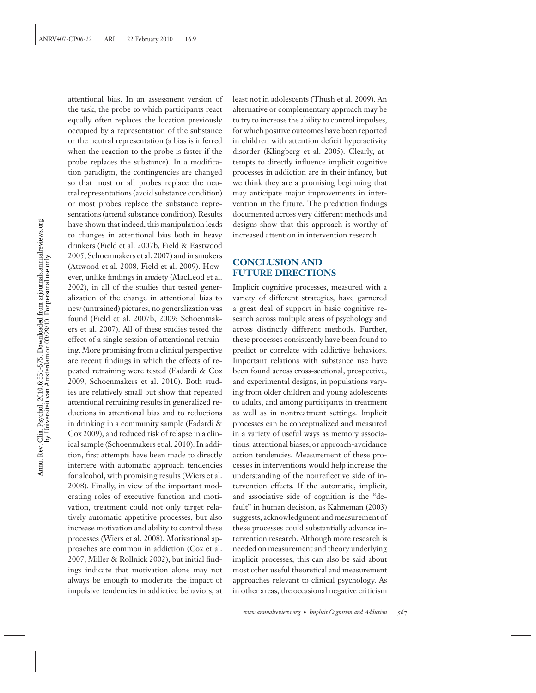attentional bias. In an assessment version of the task, the probe to which participants react equally often replaces the location previously occupied by a representation of the substance or the neutral representation (a bias is inferred when the reaction to the probe is faster if the probe replaces the substance). In a modification paradigm, the contingencies are changed so that most or all probes replace the neutral representations (avoid substance condition) or most probes replace the substance representations (attend substance condition). Results have shown that indeed, this manipulation leads to changes in attentional bias both in heavy drinkers (Field et al. 2007b, Field & Eastwood 2005, Schoenmakers et al. 2007) and in smokers (Attwood et al. 2008, Field et al. 2009). However, unlike findings in anxiety (MacLeod et al. 2002), in all of the studies that tested generalization of the change in attentional bias to new (untrained) pictures, no generalization was found (Field et al. 2007b, 2009; Schoenmakers et al. 2007). All of these studies tested the effect of a single session of attentional retraining. More promising from a clinical perspective are recent findings in which the effects of repeated retraining were tested (Fadardi & Cox 2009, Schoenmakers et al. 2010). Both studies are relatively small but show that repeated attentional retraining results in generalized reductions in attentional bias and to reductions in drinking in a community sample (Fadardi & Cox 2009), and reduced risk of relapse in a clinical sample (Schoenmakers et al. 2010). In addition, first attempts have been made to directly interfere with automatic approach tendencies for alcohol, with promising results (Wiers et al. 2008). Finally, in view of the important moderating roles of executive function and motivation, treatment could not only target relatively automatic appetitive processes, but also increase motivation and ability to control these processes (Wiers et al. 2008). Motivational approaches are common in addiction (Cox et al. 2007, Miller & Rollnick 2002), but initial findings indicate that motivation alone may not always be enough to moderate the impact of impulsive tendencies in addictive behaviors, at least not in adolescents (Thush et al. 2009). An alternative or complementary approach may be to try to increase the ability to control impulses, for which positive outcomes have been reported in children with attention deficit hyperactivity disorder (Klingberg et al. 2005). Clearly, attempts to directly influence implicit cognitive processes in addiction are in their infancy, but we think they are a promising beginning that may anticipate major improvements in intervention in the future. The prediction findings documented across very different methods and designs show that this approach is worthy of increased attention in intervention research.

# **CONCLUSION AND FUTURE DIRECTIONS**

Implicit cognitive processes, measured with a variety of different strategies, have garnered a great deal of support in basic cognitive research across multiple areas of psychology and across distinctly different methods. Further, these processes consistently have been found to predict or correlate with addictive behaviors. Important relations with substance use have been found across cross-sectional, prospective, and experimental designs, in populations varying from older children and young adolescents to adults, and among participants in treatment as well as in nontreatment settings. Implicit processes can be conceptualized and measured in a variety of useful ways as memory associations, attentional biases, or approach-avoidance action tendencies. Measurement of these processes in interventions would help increase the understanding of the nonreflective side of intervention effects. If the automatic, implicit, and associative side of cognition is the "default" in human decision, as Kahneman (2003) suggests, acknowledgment and measurement of these processes could substantially advance intervention research. Although more research is needed on measurement and theory underlying implicit processes, this can also be said about most other useful theoretical and measurement approaches relevant to clinical psychology. As in other areas, the occasional negative criticism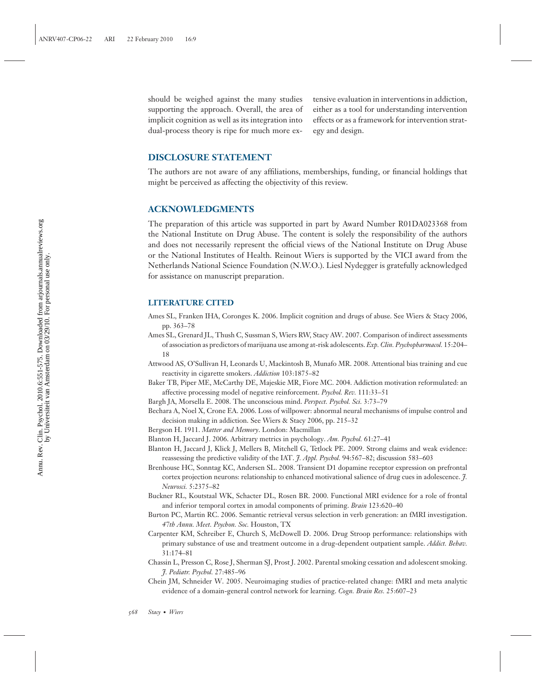should be weighed against the many studies supporting the approach. Overall, the area of implicit cognition as well as its integration into dual-process theory is ripe for much more ex-

tensive evaluation in interventions in addiction, either as a tool for understanding intervention effects or as a framework for intervention strategy and design.

#### **DISCLOSURE STATEMENT**

The authors are not aware of any affiliations, memberships, funding, or financial holdings that might be perceived as affecting the objectivity of this review.

#### **ACKNOWLEDGMENTS**

The preparation of this article was supported in part by Award Number R01DA023368 from the National Institute on Drug Abuse. The content is solely the responsibility of the authors and does not necessarily represent the official views of the National Institute on Drug Abuse or the National Institutes of Health. Reinout Wiers is supported by the VICI award from the Netherlands National Science Foundation (N.W.O.). Liesl Nydegger is gratefully acknowledged for assistance on manuscript preparation.

#### **LITERATURE CITED**

- Ames SL, Franken IHA, Coronges K. 2006. Implicit cognition and drugs of abuse. See Wiers & Stacy 2006, pp. 363–78
- Ames SL, Grenard JL, Thush C, Sussman S, Wiers RW, Stacy AW. 2007. Comparison of indirect assessments of association as predictors of marijuana use among at-risk adolescents. *Exp. Clin. Psychopharmacol.* 15:204– 18
- Attwood AS, O'Sullivan H, Leonards U, Mackintosh B, Munafo MR. 2008. Attentional bias training and cue reactivity in cigarette smokers. *Addiction* 103:1875–82
- Baker TB, Piper ME, McCarthy DE, Majeskie MR, Fiore MC. 2004. Addiction motivation reformulated: an affective processing model of negative reinforcement. *Psychol. Rev.* 111:33–51
- Bargh JA, Morsella E. 2008. The unconscious mind. *Perspect. Psychol. Sci.* 3:73–79
- Bechara A, Noel X, Crone EA. 2006. Loss of willpower: abnormal neural mechanisms of impulse control and decision making in addiction. See Wiers & Stacy 2006, pp. 215–32
- Bergson H. 1911. *Matter and Memory*. London: Macmillan
- Blanton H, Jaccard J. 2006. Arbitrary metrics in psychology. *Am. Psychol.* 61:27–41
- Blanton H, Jaccard J, Klick J, Mellers B, Mitchell G, Tetlock PE. 2009. Strong claims and weak evidence: reassessing the predictive validity of the IAT. *J. Appl. Psychol.* 94:567–82; discussion 583–603
- Brenhouse HC, Sonntag KC, Andersen SL. 2008. Transient D1 dopamine receptor expression on prefrontal cortex projection neurons: relationship to enhanced motivational salience of drug cues in adolescence. *J. Neurosci.* 5:2375–82
- Buckner RL, Koutstaal WK, Schacter DL, Rosen BR. 2000. Functional MRI evidence for a role of frontal and inferior temporal cortex in amodal components of priming. *Brain* 123:620–40
- Burton PC, Martin RC. 2006. Semantic retrieval versus selection in verb generation: an fMRI investigation. *47th Annu. Meet. Psychon. Soc.* Houston, TX
- Carpenter KM, Schreiber E, Church S, McDowell D. 2006. Drug Stroop performance: relationships with primary substance of use and treatment outcome in a drug-dependent outpatient sample. *Addict. Behav.* 31:174–81
- Chassin L, Presson C, Rose J, Sherman SJ, Prost J. 2002. Parental smoking cessation and adolescent smoking. *J. Pediatr. Psychol.* 27:485–96
- Chein JM, Schneider W. 2005. Neuroimaging studies of practice-related change: fMRI and meta analytic evidence of a domain-general control network for learning. *Cogn. Brain Res.* 25:607–23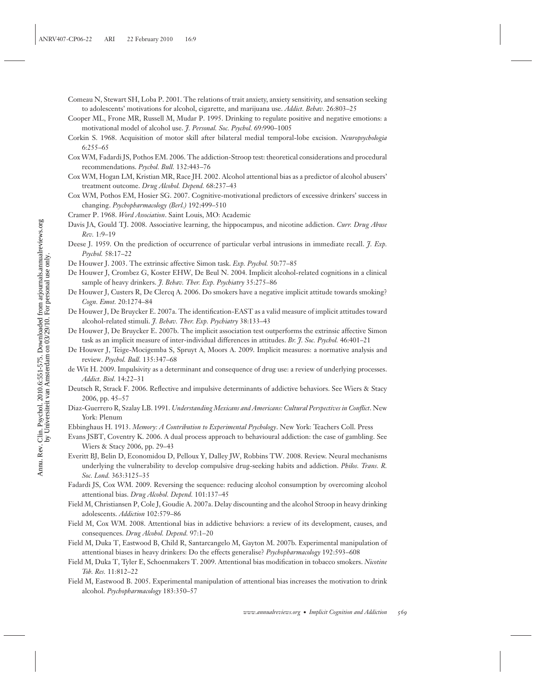- Comeau N, Stewart SH, Loba P. 2001. The relations of trait anxiety, anxiety sensitivity, and sensation seeking to adolescents' motivations for alcohol, cigarette, and marijuana use. *Addict. Behav.* 26:803–25
- Cooper ML, Frone MR, Russell M, Mudar P. 1995. Drinking to regulate positive and negative emotions: a motivational model of alcohol use. *J. Personal. Soc. Psychol.* 69:990–1005
- Corkin S. 1968. Acquisition of motor skill after bilateral medial temporal-lobe excision. *Neuropsychologia* 6:255–65
- Cox WM, Fadardi JS, Pothos EM. 2006. The addiction-Stroop test: theoretical considerations and procedural recommendations. *Psychol. Bull.* 132:443–76
- Cox WM, Hogan LM, Kristian MR, Race JH. 2002. Alcohol attentional bias as a predictor of alcohol abusers' treatment outcome. *Drug Alcohol. Depend.* 68:237–43
- Cox WM, Pothos EM, Hosier SG. 2007. Cognitive-motivational predictors of excessive drinkers' success in changing. *Psychopharmacology (Berl.)* 192:499–510
- Cramer P. 1968. *Word Association*. Saint Louis, MO: Academic
- Davis JA, Gould TJ. 2008. Associative learning, the hippocampus, and nicotine addiction. *Curr. Drug Abuse Rev.* 1:9–19
- Deese J. 1959. On the prediction of occurrence of particular verbal intrusions in immediate recall. *J. Exp. Psychol.* 58:17–22
- De Houwer J. 2003. The extrinsic affective Simon task. *Exp. Psychol.* 50:77–85
- De Houwer J, Crombez G, Koster EHW, De Beul N. 2004. Implicit alcohol-related cognitions in a clinical sample of heavy drinkers. *J. Behav. Ther. Exp. Psychiatry* 35:275–86
- De Houwer J, Custers R, De Clercq A. 2006. Do smokers have a negative implicit attitude towards smoking? *Cogn. Emot.* 20:1274–84
- De Houwer J, De Bruycker E. 2007a. The identification-EAST as a valid measure of implicit attitudes toward alcohol-related stimuli. *J. Behav. Ther. Exp. Psychiatry* 38:133–43
- De Houwer J, De Bruycker E. 2007b. The implicit association test outperforms the extrinsic affective Simon task as an implicit measure of inter-individual differences in attitudes. *Br. J. Soc. Psychol.* 46:401–21
- De Houwer J, Teige-Mocigemba S, Spruyt A, Moors A. 2009. Implicit measures: a normative analysis and review. *Psychol. Bull.* 135:347–68
- de Wit H. 2009. Impulsivity as a determinant and consequence of drug use: a review of underlying processes. *Addict. Biol.* 14:22–31
- Deutsch R, Strack F. 2006. Reflective and impulsive determinants of addictive behaviors. See Wiers & Stacy 2006, pp. 45–57
- Diaz-Guerrero R, Szalay LB. 1991. *Understanding Mexicans and Americans: Cultural Perspectives in Conflict*. New York: Plenum
- Ebbinghaus H. 1913. *Memory: A Contribution to Experimental Psychology*. New York: Teachers Coll. Press
- Evans JSBT, Coventry K. 2006. A dual process approach to behavioural addiction: the case of gambling. See Wiers & Stacy 2006, pp. 29–43
- Everitt BJ, Belin D, Economidou D, Pelloux Y, Dalley JW, Robbins TW. 2008. Review. Neural mechanisms underlying the vulnerability to develop compulsive drug-seeking habits and addiction. *Philos. Trans. R. Soc. Lond.* 363:3125–35
- Fadardi JS, Cox WM. 2009. Reversing the sequence: reducing alcohol consumption by overcoming alcohol attentional bias. *Drug Alcohol. Depend.* 101:137–45
- Field M, Christiansen P, Cole J, Goudie A. 2007a. Delay discounting and the alcohol Stroop in heavy drinking adolescents. *Addiction* 102:579–86
- Field M, Cox WM. 2008. Attentional bias in addictive behaviors: a review of its development, causes, and consequences. *Drug Alcohol. Depend.* 97:1–20
- Field M, Duka T, Eastwood B, Child R, Santarcangelo M, Gayton M. 2007b. Experimental manipulation of attentional biases in heavy drinkers: Do the effects generalise? *Psychopharmacology* 192:593–608
- Field M, Duka T, Tyler E, Schoenmakers T. 2009. Attentional bias modification in tobacco smokers. *Nicotine Tob. Res.* 11:812–22
- Field M, Eastwood B. 2005. Experimental manipulation of attentional bias increases the motivation to drink alcohol. *Psychopharmacology* 183:350–57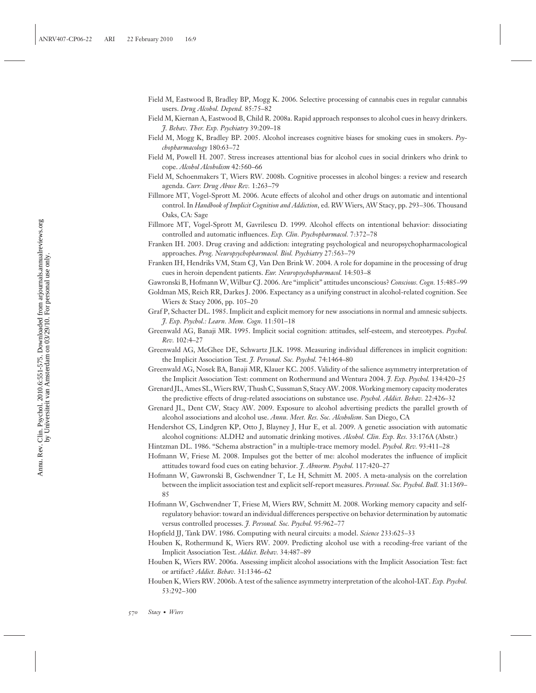- Field M, Eastwood B, Bradley BP, Mogg K. 2006. Selective processing of cannabis cues in regular cannabis users. *Drug Alcohol. Depend.* 85:75–82
- Field M, Kiernan A, Eastwood B, Child R. 2008a. Rapid approach responses to alcohol cues in heavy drinkers. *J. Behav. Ther. Exp. Psychiatry* 39:209–18
- Field M, Mogg K, Bradley BP. 2005. Alcohol increases cognitive biases for smoking cues in smokers. *Psychopharmacology* 180:63–72
- Field M, Powell H. 2007. Stress increases attentional bias for alcohol cues in social drinkers who drink to cope. *Alcohol Alcoholism* 42:560–66
- Field M, Schoenmakers T, Wiers RW. 2008b. Cognitive processes in alcohol binges: a review and research agenda. *Curr. Drug Abuse Rev.* 1:263–79
- Fillmore MT, Vogel-Sprott M. 2006. Acute effects of alcohol and other drugs on automatic and intentional control. In *Handbook of Implicit Cognition and Addiction*, ed. RW Wiers, AW Stacy, pp. 293–306. Thousand Oaks, CA: Sage
- Fillmore MT, Vogel-Sprott M, Gavrilescu D. 1999. Alcohol effects on intentional behavior: dissociating controlled and automatic influences. *Exp. Clin. Psychopharmacol.* 7:372–78
- Franken IH. 2003. Drug craving and addiction: integrating psychological and neuropsychopharmacological approaches. *Prog. Neuropsychopharmacol. Biol. Psychiatry* 27:563–79
- Franken IH, Hendriks VM, Stam CJ, Van Den Brink W. 2004. A role for dopamine in the processing of drug cues in heroin dependent patients. *Eur. Neuropsychopharmacol.* 14:503–8

Gawronski B, Hofmann W, Wilbur CJ. 2006. Are "implicit" attitudes unconscious? *Conscious. Cogn.* 15:485–99

- Goldman MS, Reich RR, Darkes J. 2006. Expectancy as a unifying construct in alcohol-related cognition. See Wiers & Stacy 2006, pp. 105–20
- Graf P, Schacter DL. 1985. Implicit and explicit memory for new associations in normal and amnesic subjects. *J. Exp. Psychol.: Learn. Mem. Cogn.* 11:501–18
- Greenwald AG, Banaji MR. 1995. Implicit social cognition: attitudes, self-esteem, and stereotypes. *Psychol. Rev.* 102:4–27
- Greenwald AG, McGhee DE, Schwartz JLK. 1998. Measuring individual differences in implicit cognition: the Implicit Association Test. *J. Personal. Soc. Psychol.* 74:1464–80
- Greenwald AG, Nosek BA, Banaji MR, Klauer KC. 2005. Validity of the salience asymmetry interpretation of the Implicit Association Test: comment on Rothermund and Wentura 2004. *J. Exp. Psychol.* 134:420–25
- Grenard JL, Ames SL, Wiers RW, Thush C, Sussman S, Stacy AW. 2008. Working memory capacity moderates the predictive effects of drug-related associations on substance use. *Psychol. Addict. Behav.* 22:426–32
- Grenard JL, Dent CW, Stacy AW. 2009. Exposure to alcohol advertising predicts the parallel growth of alcohol associations and alcohol use. *Annu. Meet. Res. Soc. Alcoholism*. San Diego, CA
- Hendershot CS, Lindgren KP, Otto J, Blayney J, Hur E, et al. 2009. A genetic association with automatic alcohol cognitions: ALDH2 and automatic drinking motives. *Alcohol. Clin. Exp. Res.* 33:176A (Abstr.)
- Hintzman DL. 1986. "Schema abstraction" in a multiple-trace memory model. *Psychol. Rev.* 93:411–28
- Hofmann W, Friese M. 2008. Impulses got the better of me: alcohol moderates the influence of implicit attitudes toward food cues on eating behavior. *J. Abnorm. Psychol.* 117:420–27
- Hofmann W, Gawronski B, Gschwendner T, Le H, Schmitt M. 2005. A meta-analysis on the correlation between the implicit association test and explicit self-report measures. *Personal. Soc. Psychol. Bull.* 31:1369– 85
- Hofmann W, Gschwendner T, Friese M, Wiers RW, Schmitt M. 2008. Working memory capacity and selfregulatory behavior: toward an individual differences perspective on behavior determination by automatic versus controlled processes. *J. Personal. Soc. Psychol.* 95:962–77

Hopfield JJ, Tank DW. 1986. Computing with neural circuits: a model. *Science* 233:625–33

- Houben K, Rothermund K, Wiers RW. 2009. Predicting alcohol use with a recoding-free variant of the Implicit Association Test. *Addict. Behav.* 34:487–89
- Houben K, Wiers RW. 2006a. Assessing implicit alcohol associations with the Implicit Association Test: fact or artifact? *Addict. Behav.* 31:1346–62
- Houben K, Wiers RW. 2006b. A test of the salience asymmetry interpretation of the alcohol-IAT. *Exp. Psychol.* 53:292–300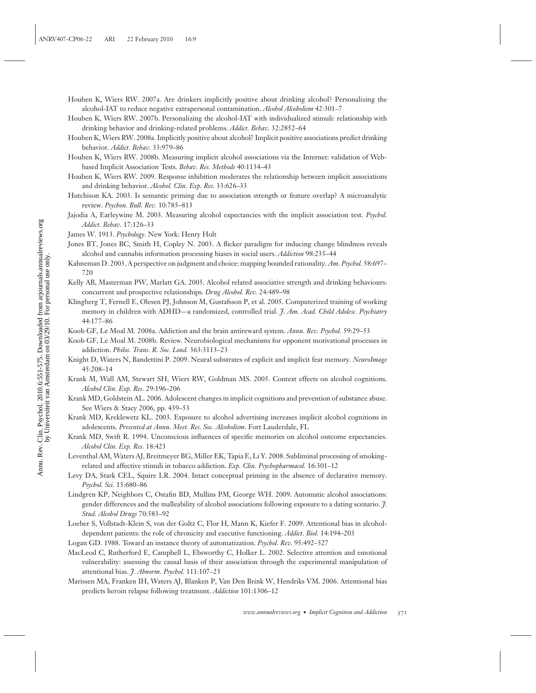- Houben K, Wiers RW. 2007a. Are drinkers implicitly positive about drinking alcohol? Personalizing the alcohol-IAT to reduce negative extrapersonal contamination. *Alcohol Alcoholism* 42:301–7
- Houben K, Wiers RW. 2007b. Personalizing the alcohol-IAT with individualized stimuli: relationship with drinking behavior and drinking-related problems. *Addict. Behav.* 32:2852–64
- Houben K, Wiers RW. 2008a. Implicitly positive about alcohol? Implicit positive associations predict drinking behavior. *Addict. Behav.* 33:979–86
- Houben K, Wiers RW. 2008b. Measuring implicit alcohol associations via the Internet: validation of Webbased Implicit Association Tests. *Behav. Res. Methods* 40:1134–43
- Houben K, Wiers RW. 2009. Response inhibition moderates the relationship between implicit associations and drinking behavior. *Alcohol. Clin. Exp. Res.* 33:626–33
- Hutchison KA. 2003. Is semantic priming due to association strength or feature overlap? A microanalytic review. *Psychon. Bull. Rev.* 10:785–813
- Jajodia A, Earleywine M. 2003. Measuring alcohol expectancies with the implicit association test. *Psychol. Addict. Behav.* 17:126–33
- James W. 1913. *Psychology*. New York: Henry Holt
- Jones BT, Jones BC, Smith H, Copley N. 2003. A flicker paradigm for inducing change blindness reveals alcohol and cannabis information processing biases in social users. *Addiction* 98:235–44
- Kahneman D. 2003. A perspective on judgment and choice: mapping bounded rationality. *Am. Psychol.* 58:697– 720
- Kelly AB, Masterman PW, Marlatt GA. 2005. Alcohol related associative strength and drinking behaviours: concurrent and prospective relationships. *Drug Alcohol. Rev.* 24:489–98
- Klingberg T, Fernell E, Olesen PJ, Johnson M, Gustafsson P, et al. 2005. Computerized training of working memory in children with ADHD—a randomized, controlled trial. *J. Am. Acad. Child Adolesc. Psychiatry* 44:177–86
- Koob GF, Le Moal M. 2008a. Addiction and the brain antireward system. *Annu. Rev. Psychol.* 59:29–53
- Koob GF, Le Moal M. 2008b. Review. Neurobiological mechanisms for opponent motivational processes in addiction. *Philos. Trans. R. Soc. Lond.* 363:3113–23
- Knight D, Waters N, Bandettini P. 2009. Neural substrates of explicit and implicit fear memory. *NeuroImage* 45:208–14
- Krank M, Wall AM, Stewart SH, Wiers RW, Goldman MS. 2005. Context effects on alcohol cognitions. *Alcohol Clin. Exp. Res.* 29:196–206
- Krank MD, Goldstein AL. 2006. Adolescent changes in implicit cognitions and prevention of substance abuse. See Wiers & Stacy 2006, pp. 439–53
- Krank MD, Kreklewetz KL. 2003. Exposure to alcohol advertising increases implicit alcohol cognitions in adolescents. *Presented at Annu. Meet. Res. Soc. Alcoholism*. Fort Lauderdale, FL
- Krank MD, Swift R. 1994. Unconscious influences of specific memories on alcohol outcome expectancies. *Alcohol Clin. Exp. Res.* 18:423
- Leventhal AM, Waters AJ, Breitmeyer BG, Miller EK, Tapia E, Li Y. 2008. Subliminal processing of smokingrelated and affective stimuli in tobacco addiction. *Exp. Clin. Psychopharmacol.* 16:301–12
- Levy DA, Stark CEL, Squire LR. 2004. Intact conceptual priming in the absence of declarative memory. *Psychol. Sci.* 15:680–86
- Lindgren KP, Neighbors C, Ostafin BD, Mullins PM, George WH. 2009. Automatic alcohol associations: gender differences and the malleability of alcohol associations following exposure to a dating scenario. *J. Stud. Alcohol Drugs* 70:583–92
- Loeber S, Vollstadt-Klein S, von der Goltz C, Flor H, Mann K, Kiefer F. 2009. Attentional bias in alcoholdependent patients: the role of chronicity and executive functioning. *Addict. Biol.* 14:194–203
- Logan GD. 1988. Toward an instance theory of automatization. *Psychol. Rev.* 95:492–527
- MacLeod C, Rutherford E, Campbell L, Ebsworthy C, Holker L. 2002. Selective attention and emotional vulnerability: assessing the causal basis of their association through the experimental manipulation of attentional bias. *J. Abnorm. Psychol.* 111:107–23
- Marissen MA, Franken IH, Waters AJ, Blanken P, Van Den Brink W, Hendriks VM. 2006. Attentional bias predicts heroin relapse following treatment. *Addiction* 101:1306–12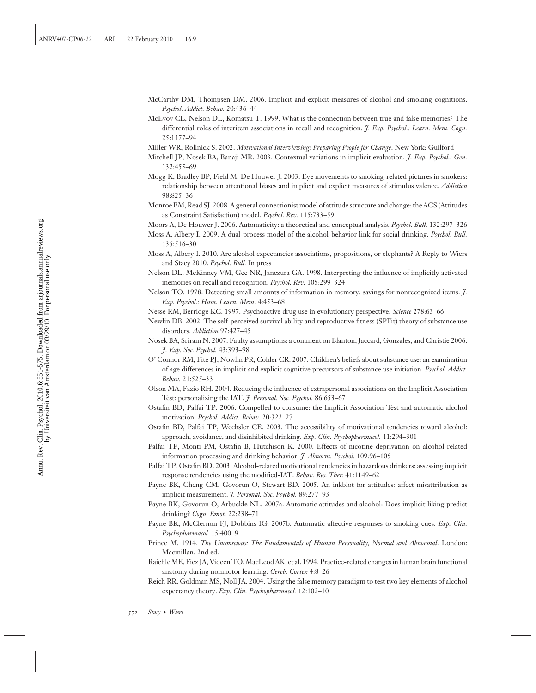- McCarthy DM, Thompsen DM. 2006. Implicit and explicit measures of alcohol and smoking cognitions. *Psychol. Addict. Behav.* 20:436–44
- McEvoy CL, Nelson DL, Komatsu T. 1999. What is the connection between true and false memories? The differential roles of interitem associations in recall and recognition. *J. Exp. Psychol.: Learn. Mem. Cogn.* 25:1177–94
- Miller WR, Rollnick S. 2002. *Motivational Interviewing: Preparing People for Change*. New York: Guilford
- Mitchell JP, Nosek BA, Banaji MR. 2003. Contextual variations in implicit evaluation. *J. Exp. Psychol.: Gen.* 132:455–69
- Mogg K, Bradley BP, Field M, De Houwer J. 2003. Eye movements to smoking-related pictures in smokers: relationship between attentional biases and implicit and explicit measures of stimulus valence. *Addiction* 98:825–36
- Monroe BM, Read SJ. 2008. A general connectionist model of attitude structure and change: the ACS (Attitudes as Constraint Satisfaction) model. *Psychol. Rev.* 115:733–59
- Moors A, De Houwer J. 2006. Automaticity: a theoretical and conceptual analysis. *Psychol. Bull.* 132:297–326
- Moss A, Albery I. 2009. A dual-process model of the alcohol-behavior link for social drinking. *Psychol. Bull.* 135:516–30
- Moss A, Albery I. 2010. Are alcohol expectancies associations, propositions, or elephants? A Reply to Wiers and Stacy 2010. *Psychol. Bull.* In press
- Nelson DL, McKinney VM, Gee NR, Janczura GA. 1998. Interpreting the influence of implicitly activated memories on recall and recognition. *Psychol. Rev.* 105:299–324
- Nelson TO. 1978. Detecting small amounts of information in memory: savings for nonrecognized items. *J. Exp. Psychol.: Hum. Learn. Mem.* 4:453–68
- Nesse RM, Berridge KC. 1997. Psychoactive drug use in evolutionary perspective. *Science* 278:63–66
- Newlin DB. 2002. The self-perceived survival ability and reproductive fitness (SPFit) theory of substance use disorders. *Addiction* 97:427–45
- Nosek BA, Sriram N. 2007. Faulty assumptions: a comment on Blanton, Jaccard, Gonzales, and Christie 2006. *J. Exp. Soc. Psychol.* 43:393–98
- O' Connor RM, Fite PJ, Nowlin PR, Colder CR. 2007. Children's beliefs about substance use: an examination of age differences in implicit and explicit cognitive precursors of substance use initiation. *Psychol. Addict. Behav.* 21:525–33
- Olson MA, Fazio RH. 2004. Reducing the influence of extrapersonal associations on the Implicit Association Test: personalizing the IAT. *J. Personal. Soc. Psychol.* 86:653–67
- Ostafin BD, Palfai TP. 2006. Compelled to consume: the Implicit Association Test and automatic alcohol motivation. *Psychol. Addict. Behav.* 20:322–27
- Ostafin BD, Palfai TP, Wechsler CE. 2003. The accessibility of motivational tendencies toward alcohol: approach, avoidance, and disinhibited drinking. *Exp. Clin. Psychopharmacol.* 11:294–301
- Palfai TP, Monti PM, Ostafin B, Hutchison K. 2000. Effects of nicotine deprivation on alcohol-related information processing and drinking behavior. *J. Abnorm. Psychol.* 109:96–105
- Palfai TP, Ostafin BD. 2003. Alcohol-related motivational tendencies in hazardous drinkers: assessing implicit response tendencies using the modified-IAT. *Behav. Res. Ther.* 41:1149–62
- Payne BK, Cheng CM, Govorun O, Stewart BD. 2005. An inkblot for attitudes: affect misattribution as implicit measurement. *J. Personal. Soc. Psychol.* 89:277–93
- Payne BK, Govorun O, Arbuckle NL. 2007a. Automatic attitudes and alcohol: Does implicit liking predict drinking? *Cogn. Emot.* 22:238–71
- Payne BK, McClernon FJ, Dobbins IG. 2007b. Automatic affective responses to smoking cues. *Exp. Clin. Psychopharmacol.* 15:400–9
- Prince M. 1914. *The Unconscious: The Fundamentals of Human Personality, Normal and Abnormal*. London: Macmillan. 2nd ed.
- Raichle ME, Fiez JA, Videen TO, MacLeod AK, et al. 1994. Practice-related changes in human brain functional anatomy during nonmotor learning. *Cereb. Cortex* 4:8–26
- Reich RR, Goldman MS, Noll JA. 2004. Using the false memory paradigm to test two key elements of alcohol expectancy theory. *Exp. Clin. Psychopharmacol.* 12:102–10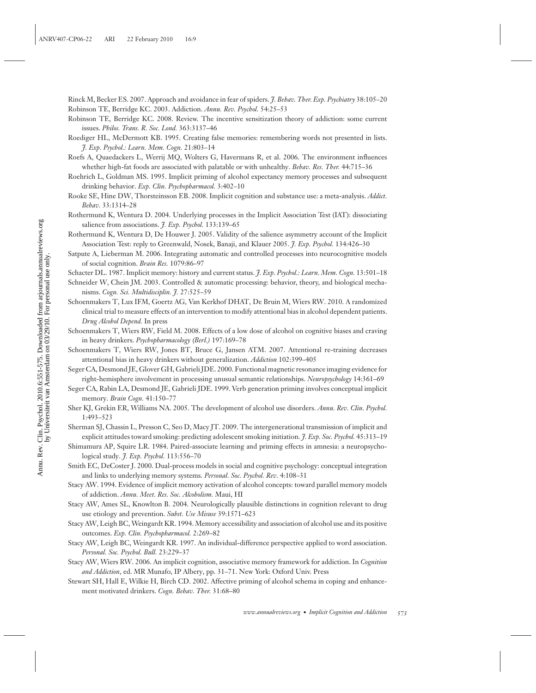- Rinck M, Becker ES. 2007. Approach and avoidance in fear of spiders. *J. Behav. Ther. Exp. Psychiatry* 38:105–20
- Robinson TE, Berridge KC. 2003. Addiction. *Annu. Rev. Psychol.* 54:25–53
- Robinson TE, Berridge KC. 2008. Review. The incentive sensitization theory of addiction: some current issues. *Philos. Trans. R. Soc. Lond.* 363:3137–46
- Roediger HL, McDermott KB. 1995. Creating false memories: remembering words not presented in lists. *J. Exp. Psychol.: Learn. Mem. Cogn.* 21:803–14
- Roefs A, Quaedackers L, Werrij MQ, Wolters G, Havermans R, et al. 2006. The environment influences whether high-fat foods are associated with palatable or with unhealthy. *Behav. Res. Ther.* 44:715–36
- Roehrich L, Goldman MS. 1995. Implicit priming of alcohol expectancy memory processes and subsequent drinking behavior. *Exp. Clin. Psychopharmacol.* 3:402–10
- Rooke SE, Hine DW, Thorsteinsson EB. 2008. Implicit cognition and substance use: a meta-analysis. *Addict. Behav.* 33:1314–28
- Rothermund K, Wentura D. 2004. Underlying processes in the Implicit Association Test (IAT): dissociating salience from associations. *J. Exp. Psychol.* 133:139–65
- Rothermund K, Wentura D, De Houwer J. 2005. Validity of the salience asymmetry account of the Implicit Association Test: reply to Greenwald, Nosek, Banaji, and Klauer 2005. *J. Exp. Psychol.* 134:426–30
- Satpute A, Lieberman M. 2006. Integrating automatic and controlled processes into neurocognitive models of social cognition. *Brain Res.* 1079:86–97
- Schacter DL. 1987. Implicit memory: history and current status. *J. Exp. Psychol.: Learn. Mem. Cogn.* 13:501–18
- Schneider W, Chein JM. 2003. Controlled & automatic processing: behavior, theory, and biological mechanisms. *Cogn. Sci. Multidisciplin. J.* 27:525–59
- Schoenmakers T, Lux IFM, Goertz AG, Van Kerkhof DHAT, De Bruin M, Wiers RW. 2010. A randomized clinical trial to measure effects of an intervention to modify attentional bias in alcohol dependent patients. *Drug Alcohol Depend.* In press
- Schoenmakers T, Wiers RW, Field M. 2008. Effects of a low dose of alcohol on cognitive biases and craving in heavy drinkers. *Psychopharmacology (Berl.)* 197:169–78
- Schoenmakers T, Wiers RW, Jones BT, Bruce G, Jansen ATM. 2007. Attentional re-training decreases attentional bias in heavy drinkers without generalization. *Addiction* 102:399–405
- Seger CA, Desmond JE, Glover GH, Gabrieli JDE. 2000. Functional magnetic resonance imaging evidence for right-hemisphere involvement in processing unusual semantic relationships. *Neuropsychology* 14:361–69
- Seger CA, Rabin LA, Desmond JE, Gabrieli JDE. 1999. Verb generation priming involves conceptual implicit memory. *Brain Cogn.* 41:150–77
- Sher KJ, Grekin ER, Williams NA. 2005. The development of alcohol use disorders. *Annu. Rev. Clin. Psychol.* 1:493–523
- Sherman SJ, Chassin L, Presson C, Seo D, Macy JT. 2009. The intergenerational transmission of implicit and explicit attitudes toward smoking: predicting adolescent smoking initiation. *J. Exp. Soc. Psychol.* 45:313–19
- Shimamura AP, Squire LR. 1984. Paired-associate learning and priming effects in amnesia: a neuropsychological study. *J. Exp. Psychol.* 113:556–70
- Smith EC, DeCoster J. 2000. Dual-process models in social and cognitive psychology: conceptual integration and links to underlying memory systems. *Personal. Soc. Psychol. Rev.* 4:108–31
- Stacy AW. 1994. Evidence of implicit memory activation of alcohol concepts: toward parallel memory models of addiction. *Annu. Meet. Res. Soc. Alcoholism.* Maui, HI
- Stacy AW, Ames SL, Knowlton B. 2004. Neurologically plausible distinctions in cognition relevant to drug use etiology and prevention. *Subst. Use Misuse* 39:1571–623
- Stacy AW, Leigh BC, Weingardt KR. 1994. Memory accessibility and association of alcohol use and its positive outcomes. *Exp. Clin. Psychopharmacol.* 2:269–82
- Stacy AW, Leigh BC, Weingardt KR. 1997. An individual-difference perspective applied to word association. *Personal. Soc. Psychol. Bull.* 23:229–37
- Stacy AW, Wiers RW. 2006. An implicit cognition, associative memory framework for addiction. In *Cognition and Addiction*, ed. MR Munafo, IP Albery, pp. 31–71. New York: Oxford Univ. Press
- Stewart SH, Hall E, Wilkie H, Birch CD. 2002. Affective priming of alcohol schema in coping and enhancement motivated drinkers. *Cogn. Behav. Ther.* 31:68–80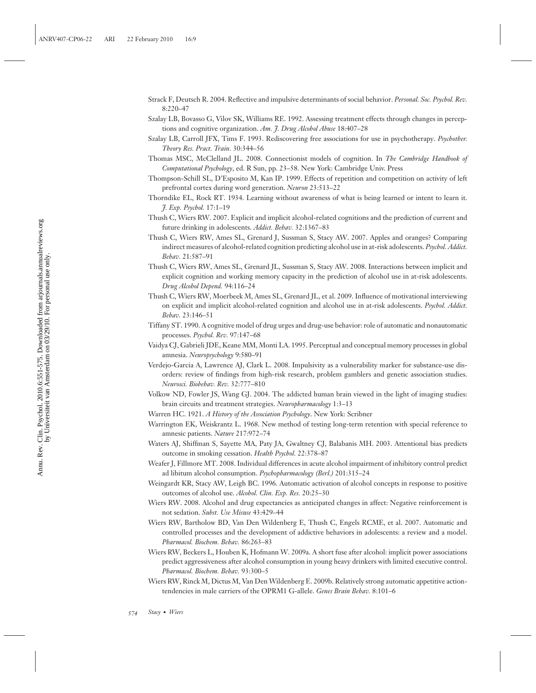- Strack F, Deutsch R. 2004. Reflective and impulsive determinants of social behavior. *Personal. Soc. Psychol. Rev.* 8:220–47
- Szalay LB, Bovasso G, Vilov SK, Williams RE. 1992. Assessing treatment effects through changes in perceptions and cognitive organization. *Am. J. Drug Alcohol Abuse* 18:407–28
- Szalay LB, Carroll JFX, Tims F. 1993. Rediscovering free associations for use in psychotherapy. *Psychother. Theory Res. Pract. Train.* 30:344–56
- Thomas MSC, McClelland JL. 2008. Connectionist models of cognition. In *The Cambridge Handbook of Computational Psychology*, ed. R Sun, pp. 23–58. New York: Cambridge Univ. Press
- Thompson-Schill SL, D'Esposito M, Kan IP. 1999. Effects of repetition and competition on activity of left prefrontal cortex during word generation. *Neuron* 23:513–22
- Thorndike EL, Rock RT. 1934. Learning without awareness of what is being learned or intent to learn it. *J. Exp. Psychol.* 17:1–19
- Thush C, Wiers RW. 2007. Explicit and implicit alcohol-related cognitions and the prediction of current and future drinking in adolescents. *Addict. Behav.* 32:1367–83
- Thush C, Wiers RW, Ames SL, Grenard J, Sussman S, Stacy AW. 2007. Apples and oranges? Comparing indirect measures of alcohol-related cognition predicting alcohol use in at-risk adolescents. *Psychol. Addict. Behav.* 21:587–91
- Thush C, Wiers RW, Ames SL, Grenard JL, Sussman S, Stacy AW. 2008. Interactions between implicit and explicit cognition and working memory capacity in the prediction of alcohol use in at-risk adolescents. *Drug Alcohol Depend.* 94:116–24
- Thush C, Wiers RW, Moerbeek M, Ames SL, Grenard JL, et al. 2009. Influence of motivational interviewing on explicit and implicit alcohol-related cognition and alcohol use in at-risk adolescents. *Psychol. Addict. Behav.* 23:146–51
- Tiffany ST. 1990. A cognitive model of drug urges and drug-use behavior: role of automatic and nonautomatic processes. *Psychol. Rev.* 97:147–68
- Vaidya CJ, Gabrieli JDE, Keane MM, Monti LA. 1995. Perceptual and conceptual memory processes in global amnesia. *Neuropsychology* 9:580–91
- Verdejo-Garcia A, Lawrence AJ, Clark L. 2008. Impulsivity as a vulnerability marker for substance-use disorders: review of findings from high-risk research, problem gamblers and genetic association studies. *Neurosci. Biobehav. Rev.* 32:777–810
- Volkow ND, Fowler JS, Wang GJ. 2004. The addicted human brain viewed in the light of imaging studies: brain circuits and treatment strategies. *Neuropharmacology* 1:3–13
- Warren HC. 1921. *A History of the Association Psychology*. New York: Scribner
- Warrington EK, Weiskrantz L. 1968. New method of testing long-term retention with special reference to amnesic patients. *Nature* 217:972–74
- Waters AJ, Shiffman S, Sayette MA, Paty JA, Gwaltney CJ, Balabanis MH. 2003. Attentional bias predicts outcome in smoking cessation. *Health Psychol.* 22:378–87
- Weafer J, Fillmore MT. 2008. Individual differences in acute alcohol impairment of inhibitory control predict ad libitum alcohol consumption. *Psychopharmacology (Berl.)* 201:315–24
- Weingardt KR, Stacy AW, Leigh BC. 1996. Automatic activation of alcohol concepts in response to positive outcomes of alcohol use. *Alcohol. Clin. Exp. Res.* 20:25–30
- Wiers RW. 2008. Alcohol and drug expectancies as anticipated changes in affect: Negative reinforcement is not sedation. *Subst. Use Misuse* 43:429–44
- Wiers RW, Bartholow BD, Van Den Wildenberg E, Thush C, Engels RCME, et al. 2007. Automatic and controlled processes and the development of addictive behaviors in adolescents: a review and a model. *Pharmacol. Biochem. Behav.* 86:263–83
- Wiers RW, Beckers L, Houben K, Hofmann W. 2009a. A short fuse after alcohol: implicit power associations predict aggressiveness after alcohol consumption in young heavy drinkers with limited executive control. *Pharmacol. Biochem. Behav.* 93:300–5
- Wiers RW, Rinck M, Dictus M, Van Den Wildenberg E. 2009b. Relatively strong automatic appetitive actiontendencies in male carriers of the OPRM1 G-allele. *Genes Brain Behav.* 8:101–6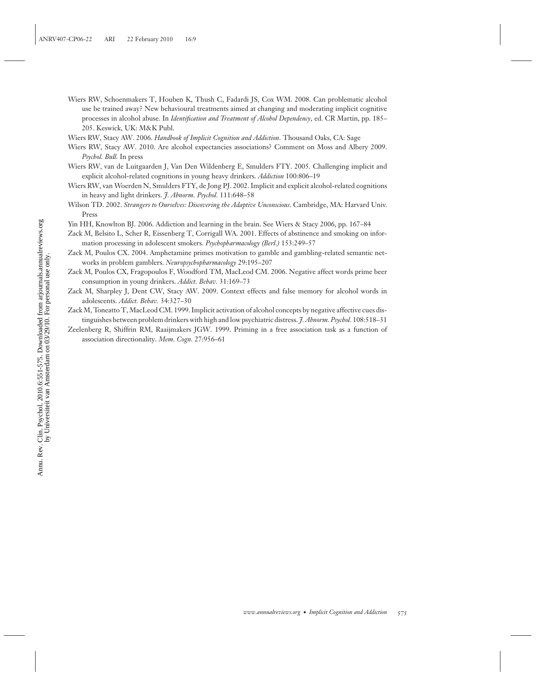- Wiers RW, Schoenmakers T, Houben K, Thush C, Fadardi JS, Cox WM. 2008. Can problematic alcohol use be trained away? New behavioural treatments aimed at changing and moderating implicit cognitive processes in alcohol abuse. In *Identification and Treatment of Alcohol Dependency*, ed. CR Martin, pp. 185– 205. Keswick, UK: M&K Publ.
- Wiers RW, Stacy AW. 2006. *Handbook of Implicit Cognition and Addiction*. Thousand Oaks, CA: Sage
- Wiers RW, Stacy AW. 2010. Are alcohol expectancies associations? Comment on Moss and Albery 2009. *Psychol. Bull.* In press
- Wiers RW, van de Luitgaarden J, Van Den Wildenberg E, Smulders FTY. 2005. Challenging implicit and explicit alcohol-related cognitions in young heavy drinkers. *Addiction* 100:806–19
- Wiers RW, van Woerden N, Smulders FTY, de Jong PJ. 2002. Implicit and explicit alcohol-related cognitions in heavy and light drinkers. *J. Abnorm. Psychol.* 111:648–58
- Wilson TD. 2002. *Strangers to Ourselves: Discovering the Adaptive Unconscious*. Cambridge, MA: Harvard Univ. Press
- Yin HH, Knowlton BJ. 2006. Addiction and learning in the brain. See Wiers & Stacy 2006, pp. 167–84
- Zack M, Belsito L, Scher R, Eissenberg T, Corrigall WA. 2001. Effects of abstinence and smoking on information processing in adolescent smokers. *Psychopharmacology (Berl.)* 153:249–57
- Zack M, Poulos CX. 2004. Amphetamine primes motivation to gamble and gambling-related semantic networks in problem gamblers. *Neuropsychopharmacology* 29:195–207
- Zack M, Poulos CX, Fragopoulos F, Woodford TM, MacLeod CM. 2006. Negative affect words prime beer consumption in young drinkers. *Addict. Behav.* 31:169–73
- Zack M, Sharpley J, Dent CW, Stacy AW. 2009. Context effects and false memory for alcohol words in adolescents. *Addict. Behav.* 34:327–30
- Zack M, Toneatto T, MacLeod CM. 1999. Implicit activation of alcohol concepts by negative affective cues distinguishes between problem drinkers with high and low psychiatric distress. *J. Abnorm. Psychol.* 108:518–31
- Zeelenberg R, Shiffrin RM, Raaijmakers JGW. 1999. Priming in a free association task as a function of association directionality. *Mem. Cogn.* 27:956–61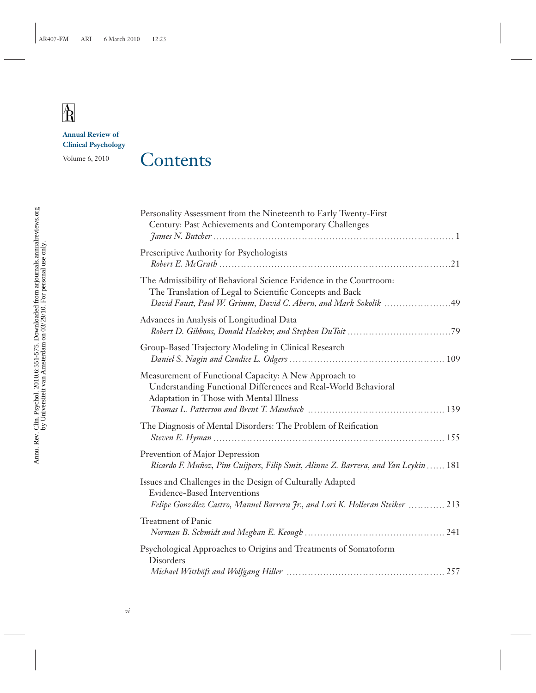**Annual Review of Clinical Psychology**

# Volume 6, 2010 Contents

| Personality Assessment from the Nineteenth to Early Twenty-First<br>Century: Past Achievements and Contemporary Challenges                                                                        |
|---------------------------------------------------------------------------------------------------------------------------------------------------------------------------------------------------|
| Prescriptive Authority for Psychologists                                                                                                                                                          |
| The Admissibility of Behavioral Science Evidence in the Courtroom:<br>The Translation of Legal to Scientific Concepts and Back<br>David Faust, Paul W. Grimm, David C. Ahern, and Mark Sokolik 49 |
| Advances in Analysis of Longitudinal Data                                                                                                                                                         |
| Group-Based Trajectory Modeling in Clinical Research                                                                                                                                              |
| Measurement of Functional Capacity: A New Approach to<br>Understanding Functional Differences and Real-World Behavioral<br>Adaptation in Those with Mental Illness                                |
| The Diagnosis of Mental Disorders: The Problem of Reification                                                                                                                                     |
| Prevention of Major Depression<br>Ricardo F. Muñoz, Pim Cuijpers, Filip Smit, Alinne Z. Barrera, and Yan Leykin  181                                                                              |
| Issues and Challenges in the Design of Culturally Adapted<br><b>Evidence-Based Interventions</b><br>Felipe González Castro, Manuel Barrera Jr., and Lori K. Holleran Steiker  213                 |
| <b>Treatment of Panic</b>                                                                                                                                                                         |
| Psychological Approaches to Origins and Treatments of Somatoform<br><b>Disorders</b>                                                                                                              |